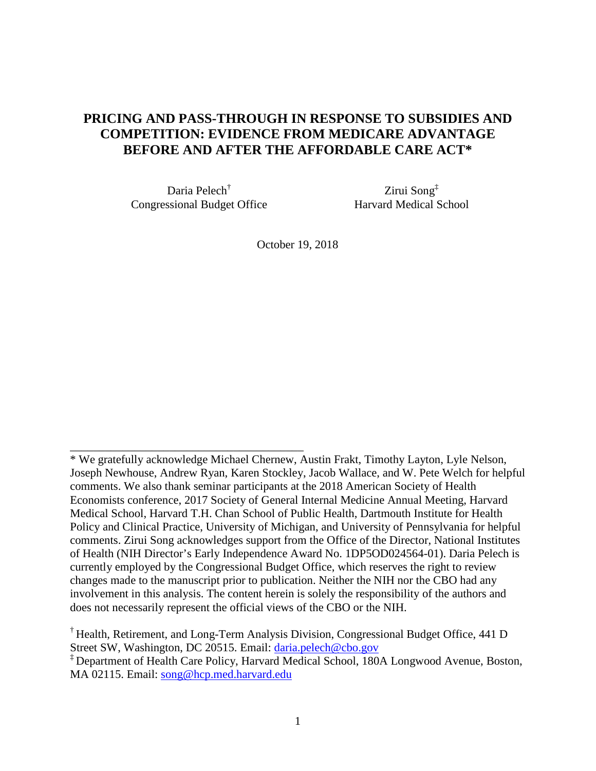# **PRICING AND PASS-THROUGH IN RESPONSE TO SUBSIDIES AND COMPETITION: EVIDENCE FROM MEDICARE ADVANTAGE BEFORE AND AFTER THE AFFORDABLE CARE ACT\***

Daria Pelech† Congressional Budget Office

\_\_\_\_\_\_\_\_\_\_\_\_\_\_\_\_\_\_\_\_\_\_\_\_\_\_\_\_\_\_\_\_\_\_\_\_\_\_\_\_

Zirui Song‡ Harvard Medical School

October 19, 2018

<sup>\*</sup> We gratefully acknowledge Michael Chernew, Austin Frakt, Timothy Layton, Lyle Nelson, Joseph Newhouse, Andrew Ryan, Karen Stockley, Jacob Wallace, and W. Pete Welch for helpful comments. We also thank seminar participants at the 2018 American Society of Health Economists conference, 2017 Society of General Internal Medicine Annual Meeting, Harvard Medical School, Harvard T.H. Chan School of Public Health, Dartmouth Institute for Health Policy and Clinical Practice, University of Michigan, and University of Pennsylvania for helpful comments. Zirui Song acknowledges support from the Office of the Director, National Institutes of Health (NIH Director's Early Independence Award No. 1DP5OD024564-01). Daria Pelech is currently employed by the Congressional Budget Office, which reserves the right to review changes made to the manuscript prior to publication. Neither the NIH nor the CBO had any involvement in this analysis. The content herein is solely the responsibility of the authors and does not necessarily represent the official views of the CBO or the NIH.

<sup>†</sup> Health, Retirement, and Long-Term Analysis Division, Congressional Budget Office, 441 D Street SW, Washington, DC 20515. Email: [daria.pelech@cbo.gov](mailto:daria.pelech@cbo.gov)

<sup>‡</sup> Department of Health Care Policy, Harvard Medical School, 180A Longwood Avenue, Boston, MA 02115. Email: [song@hcp.med.harvard.edu](mailto:song@hcp.med.harvard.edu)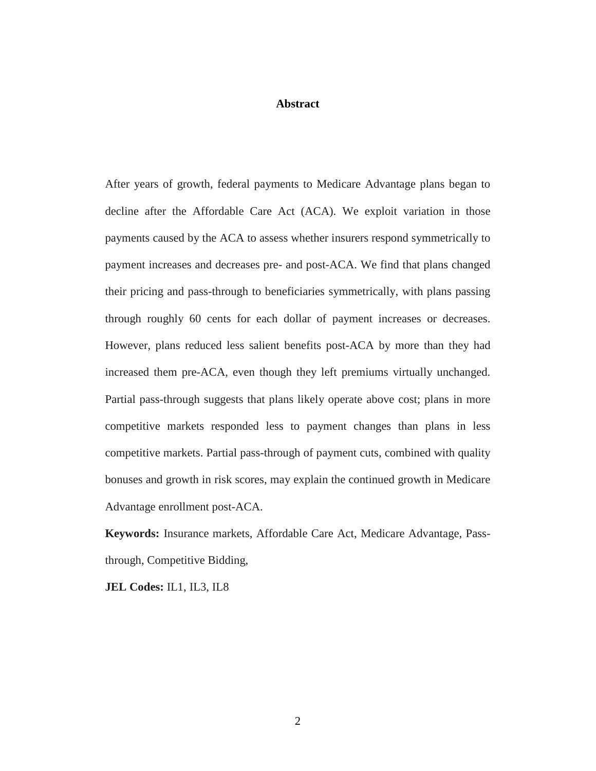### **Abstract**

After years of growth, federal payments to Medicare Advantage plans began to decline after the Affordable Care Act (ACA). We exploit variation in those payments caused by the ACA to assess whether insurers respond symmetrically to payment increases and decreases pre- and post-ACA. We find that plans changed their pricing and pass-through to beneficiaries symmetrically, with plans passing through roughly 60 cents for each dollar of payment increases or decreases. However, plans reduced less salient benefits post-ACA by more than they had increased them pre-ACA, even though they left premiums virtually unchanged. Partial pass-through suggests that plans likely operate above cost; plans in more competitive markets responded less to payment changes than plans in less competitive markets. Partial pass-through of payment cuts, combined with quality bonuses and growth in risk scores, may explain the continued growth in Medicare Advantage enrollment post-ACA.

**Keywords:** Insurance markets, Affordable Care Act, Medicare Advantage, Passthrough, Competitive Bidding,

**JEL Codes:** IL1, IL3, IL8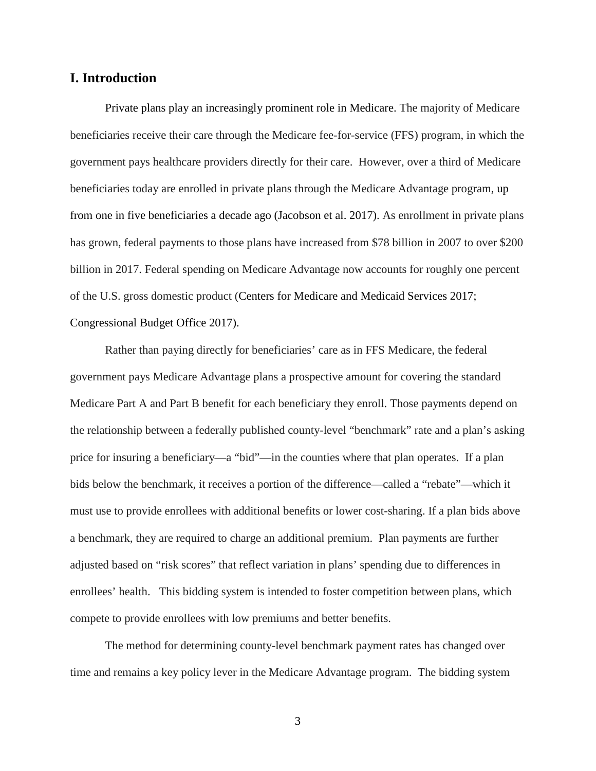## **I. Introduction**

Private plans play an increasingly prominent role in Medicare. The majority of Medicare beneficiaries receive their care through the Medicare fee-for-service (FFS) program, in which the government pays healthcare providers directly for their care. However, over a third of Medicare beneficiaries today are enrolled in private plans through the Medicare Advantage program, up from one in five beneficiaries a decade ago (Jacobson et al. 2017). As enrollment in private plans has grown, federal payments to those plans have increased from \$78 billion in 2007 to over \$200 billion in 2017. Federal spending on Medicare Advantage now accounts for roughly one percent of the U.S. gross domestic product (Centers for Medicare and Medicaid Services 2017; Congressional Budget Office 2017).

Rather than paying directly for beneficiaries' care as in FFS Medicare, the federal government pays Medicare Advantage plans a prospective amount for covering the standard Medicare Part A and Part B benefit for each beneficiary they enroll. Those payments depend on the relationship between a federally published county-level "benchmark" rate and a plan's asking price for insuring a beneficiary—a "bid"—in the counties where that plan operates. If a plan bids below the benchmark, it receives a portion of the difference—called a "rebate"—which it must use to provide enrollees with additional benefits or lower cost-sharing. If a plan bids above a benchmark, they are required to charge an additional premium. Plan payments are further adjusted based on "risk scores" that reflect variation in plans' spending due to differences in enrollees' health. This bidding system is intended to foster competition between plans, which compete to provide enrollees with low premiums and better benefits.

The method for determining county-level benchmark payment rates has changed over time and remains a key policy lever in the Medicare Advantage program. The bidding system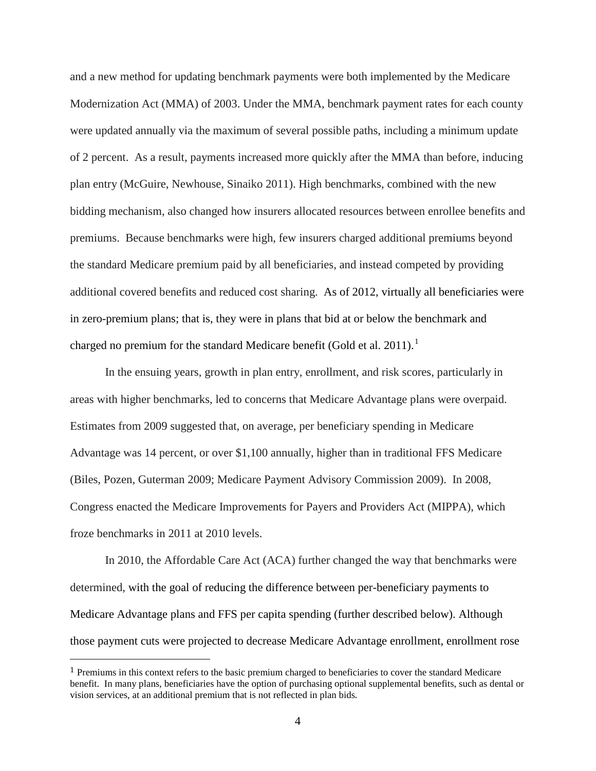and a new method for updating benchmark payments were both implemented by the Medicare Modernization Act (MMA) of 2003. Under the MMA, benchmark payment rates for each county were updated annually via the maximum of several possible paths, including a minimum update of 2 percent. As a result, payments increased more quickly after the MMA than before, inducing plan entry (McGuire, Newhouse, Sinaiko 2011). High benchmarks, combined with the new bidding mechanism, also changed how insurers allocated resources between enrollee benefits and premiums. Because benchmarks were high, few insurers charged additional premiums beyond the standard Medicare premium paid by all beneficiaries, and instead competed by providing additional covered benefits and reduced cost sharing. As of 2012, virtually all beneficiaries were in zero-premium plans; that is, they were in plans that bid at or below the benchmark and charged no premium for the standard Medicare benefit (Gold et al. 20[1](#page-3-0)1).<sup>1</sup>

In the ensuing years, growth in plan entry, enrollment, and risk scores, particularly in areas with higher benchmarks, led to concerns that Medicare Advantage plans were overpaid. Estimates from 2009 suggested that, on average, per beneficiary spending in Medicare Advantage was 14 percent, or over \$1,100 annually, higher than in traditional FFS Medicare (Biles, Pozen, Guterman 2009; Medicare Payment Advisory Commission 2009). In 2008, Congress enacted the Medicare Improvements for Payers and Providers Act (MIPPA), which froze benchmarks in 2011 at 2010 levels.

In 2010, the Affordable Care Act (ACA) further changed the way that benchmarks were determined, with the goal of reducing the difference between per-beneficiary payments to Medicare Advantage plans and FFS per capita spending (further described below). Although those payment cuts were projected to decrease Medicare Advantage enrollment, enrollment rose

<span id="page-3-0"></span><sup>&</sup>lt;sup>1</sup> Premiums in this context refers to the basic premium charged to beneficiaries to cover the standard Medicare benefit. In many plans, beneficiaries have the option of purchasing optional supplemental benefits, such as dental or vision services, at an additional premium that is not reflected in plan bids.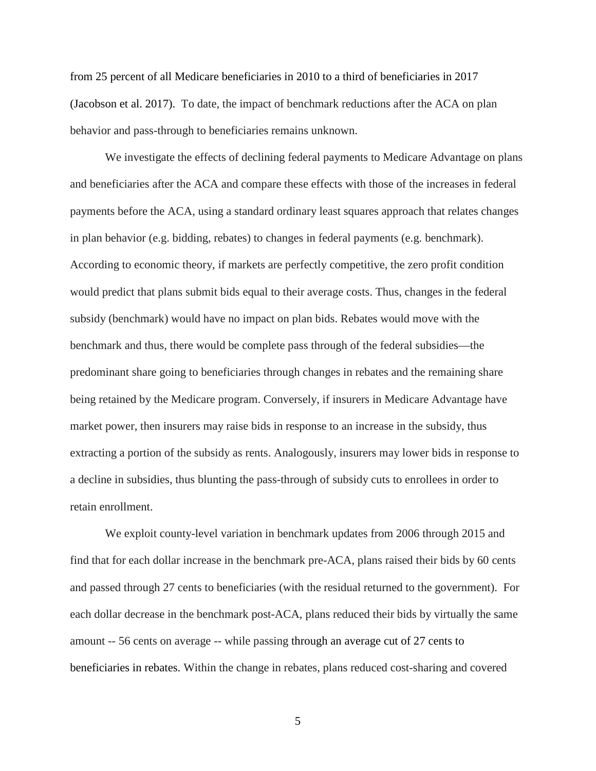from 25 percent of all Medicare beneficiaries in 2010 to a third of beneficiaries in 2017 (Jacobson et al. 2017). To date, the impact of benchmark reductions after the ACA on plan behavior and pass-through to beneficiaries remains unknown.

We investigate the effects of declining federal payments to Medicare Advantage on plans and beneficiaries after the ACA and compare these effects with those of the increases in federal payments before the ACA, using a standard ordinary least squares approach that relates changes in plan behavior (e.g. bidding, rebates) to changes in federal payments (e.g. benchmark). According to economic theory, if markets are perfectly competitive, the zero profit condition would predict that plans submit bids equal to their average costs. Thus, changes in the federal subsidy (benchmark) would have no impact on plan bids. Rebates would move with the benchmark and thus, there would be complete pass through of the federal subsidies—the predominant share going to beneficiaries through changes in rebates and the remaining share being retained by the Medicare program. Conversely, if insurers in Medicare Advantage have market power, then insurers may raise bids in response to an increase in the subsidy, thus extracting a portion of the subsidy as rents. Analogously, insurers may lower bids in response to a decline in subsidies, thus blunting the pass-through of subsidy cuts to enrollees in order to retain enrollment.

We exploit county-level variation in benchmark updates from 2006 through 2015 and find that for each dollar increase in the benchmark pre-ACA, plans raised their bids by 60 cents and passed through 27 cents to beneficiaries (with the residual returned to the government). For each dollar decrease in the benchmark post-ACA, plans reduced their bids by virtually the same amount -- 56 cents on average -- while passing through an average cut of 27 cents to beneficiaries in rebates. Within the change in rebates, plans reduced cost-sharing and covered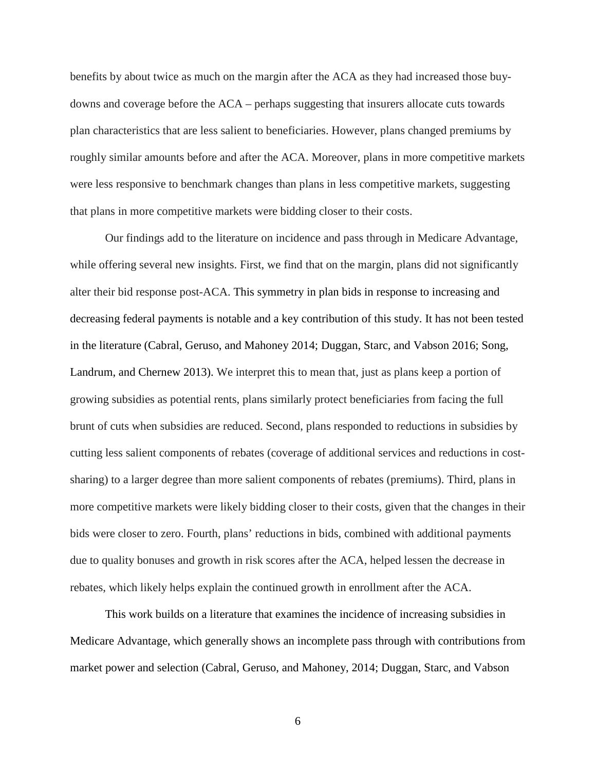benefits by about twice as much on the margin after the ACA as they had increased those buydowns and coverage before the ACA – perhaps suggesting that insurers allocate cuts towards plan characteristics that are less salient to beneficiaries. However, plans changed premiums by roughly similar amounts before and after the ACA. Moreover, plans in more competitive markets were less responsive to benchmark changes than plans in less competitive markets, suggesting that plans in more competitive markets were bidding closer to their costs.

Our findings add to the literature on incidence and pass through in Medicare Advantage, while offering several new insights. First, we find that on the margin, plans did not significantly alter their bid response post-ACA. This symmetry in plan bids in response to increasing and decreasing federal payments is notable and a key contribution of this study. It has not been tested in the literature (Cabral, Geruso, and Mahoney 2014; Duggan, Starc, and Vabson 2016; Song, Landrum, and Chernew 2013). We interpret this to mean that, just as plans keep a portion of growing subsidies as potential rents, plans similarly protect beneficiaries from facing the full brunt of cuts when subsidies are reduced. Second, plans responded to reductions in subsidies by cutting less salient components of rebates (coverage of additional services and reductions in costsharing) to a larger degree than more salient components of rebates (premiums). Third, plans in more competitive markets were likely bidding closer to their costs, given that the changes in their bids were closer to zero. Fourth, plans' reductions in bids, combined with additional payments due to quality bonuses and growth in risk scores after the ACA, helped lessen the decrease in rebates, which likely helps explain the continued growth in enrollment after the ACA.

This work builds on a literature that examines the incidence of increasing subsidies in Medicare Advantage, which generally shows an incomplete pass through with contributions from market power and selection (Cabral, Geruso, and Mahoney, 2014; Duggan, Starc, and Vabson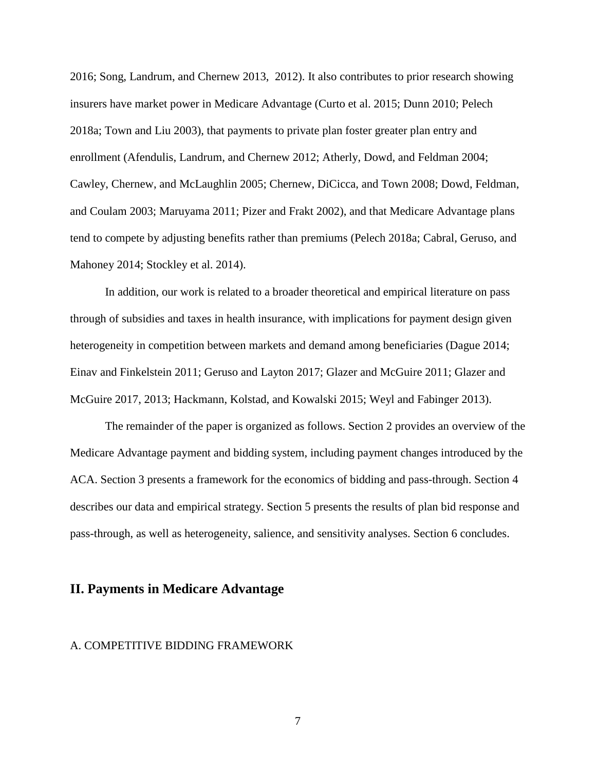2016; Song, Landrum, and Chernew 2013, 2012). It also contributes to prior research showing insurers have market power in Medicare Advantage (Curto et al. 2015; Dunn 2010; Pelech 2018a; Town and Liu 2003), that payments to private plan foster greater plan entry and enrollment (Afendulis, Landrum, and Chernew 2012; Atherly, Dowd, and Feldman 2004; Cawley, Chernew, and McLaughlin 2005; Chernew, DiCicca, and Town 2008; Dowd, Feldman, and Coulam 2003; Maruyama 2011; Pizer and Frakt 2002), and that Medicare Advantage plans tend to compete by adjusting benefits rather than premiums (Pelech 2018a; Cabral, Geruso, and Mahoney 2014; Stockley et al. 2014).

In addition, our work is related to a broader theoretical and empirical literature on pass through of subsidies and taxes in health insurance, with implications for payment design given heterogeneity in competition between markets and demand among beneficiaries (Dague 2014; Einav and Finkelstein 2011; Geruso and Layton 2017; Glazer and McGuire 2011; Glazer and McGuire 2017, 2013; Hackmann, Kolstad, and Kowalski 2015; Weyl and Fabinger 2013).

The remainder of the paper is organized as follows. Section 2 provides an overview of the Medicare Advantage payment and bidding system, including payment changes introduced by the ACA. Section 3 presents a framework for the economics of bidding and pass-through. Section 4 describes our data and empirical strategy. Section 5 presents the results of plan bid response and pass-through, as well as heterogeneity, salience, and sensitivity analyses. Section 6 concludes.

### **II. Payments in Medicare Advantage**

#### A. COMPETITIVE BIDDING FRAMEWORK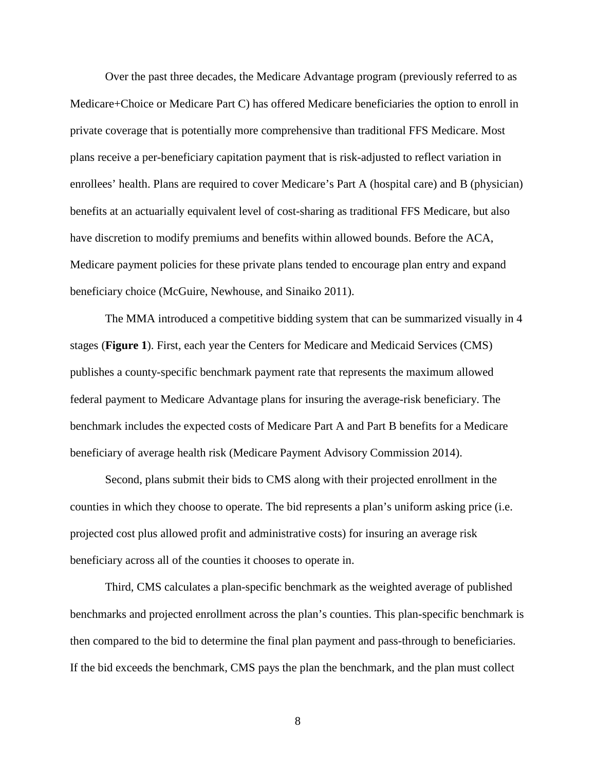Over the past three decades, the Medicare Advantage program (previously referred to as Medicare+Choice or Medicare Part C) has offered Medicare beneficiaries the option to enroll in private coverage that is potentially more comprehensive than traditional FFS Medicare. Most plans receive a per-beneficiary capitation payment that is risk-adjusted to reflect variation in enrollees' health. Plans are required to cover Medicare's Part A (hospital care) and B (physician) benefits at an actuarially equivalent level of cost-sharing as traditional FFS Medicare, but also have discretion to modify premiums and benefits within allowed bounds. Before the ACA, Medicare payment policies for these private plans tended to encourage plan entry and expand beneficiary choice (McGuire, Newhouse, and Sinaiko 2011).

The MMA introduced a competitive bidding system that can be summarized visually in 4 stages (**Figure 1**). First, each year the Centers for Medicare and Medicaid Services (CMS) publishes a county-specific benchmark payment rate that represents the maximum allowed federal payment to Medicare Advantage plans for insuring the average-risk beneficiary. The benchmark includes the expected costs of Medicare Part A and Part B benefits for a Medicare beneficiary of average health risk (Medicare Payment Advisory Commission 2014).

Second, plans submit their bids to CMS along with their projected enrollment in the counties in which they choose to operate. The bid represents a plan's uniform asking price (i.e. projected cost plus allowed profit and administrative costs) for insuring an average risk beneficiary across all of the counties it chooses to operate in.

Third, CMS calculates a plan-specific benchmark as the weighted average of published benchmarks and projected enrollment across the plan's counties. This plan-specific benchmark is then compared to the bid to determine the final plan payment and pass-through to beneficiaries. If the bid exceeds the benchmark, CMS pays the plan the benchmark, and the plan must collect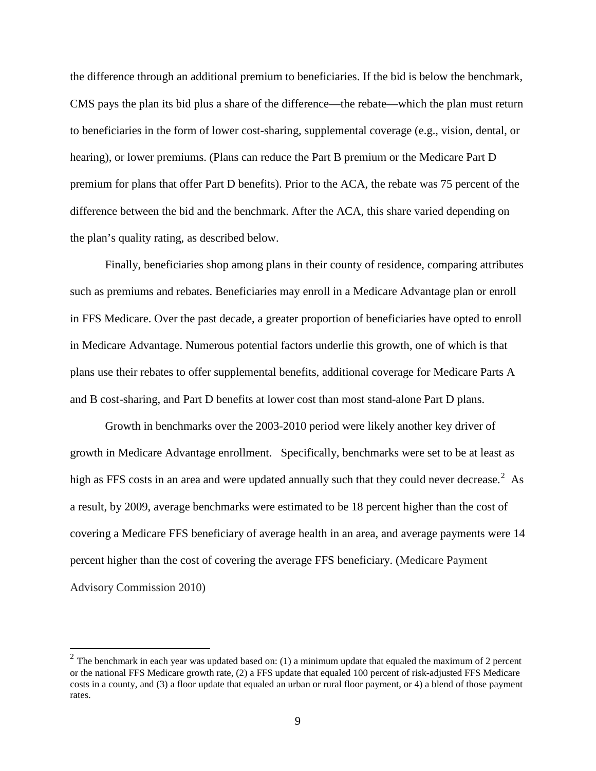the difference through an additional premium to beneficiaries. If the bid is below the benchmark, CMS pays the plan its bid plus a share of the difference—the rebate—which the plan must return to beneficiaries in the form of lower cost-sharing, supplemental coverage (e.g., vision, dental, or hearing), or lower premiums. (Plans can reduce the Part B premium or the Medicare Part D premium for plans that offer Part D benefits). Prior to the ACA, the rebate was 75 percent of the difference between the bid and the benchmark. After the ACA, this share varied depending on the plan's quality rating, as described below.

Finally, beneficiaries shop among plans in their county of residence, comparing attributes such as premiums and rebates. Beneficiaries may enroll in a Medicare Advantage plan or enroll in FFS Medicare. Over the past decade, a greater proportion of beneficiaries have opted to enroll in Medicare Advantage. Numerous potential factors underlie this growth, one of which is that plans use their rebates to offer supplemental benefits, additional coverage for Medicare Parts A and B cost-sharing, and Part D benefits at lower cost than most stand-alone Part D plans.

Growth in benchmarks over the 2003-2010 period were likely another key driver of growth in Medicare Advantage enrollment. Specifically, benchmarks were set to be at least as high as FFS costs in an area and were updated annually such that they could never decrease.<sup>[2](#page-8-0)</sup> As a result, by 2009, average benchmarks were estimated to be 18 percent higher than the cost of covering a Medicare FFS beneficiary of average health in an area, and average payments were 14 percent higher than the cost of covering the average FFS beneficiary. (Medicare Payment Advisory Commission 2010)

<span id="page-8-0"></span> $2$  The benchmark in each year was updated based on: (1) a minimum update that equaled the maximum of 2 percent or the national FFS Medicare growth rate, (2) a FFS update that equaled 100 percent of risk-adjusted FFS Medicare costs in a county, and (3) a floor update that equaled an urban or rural floor payment, or 4) a blend of those payment rates.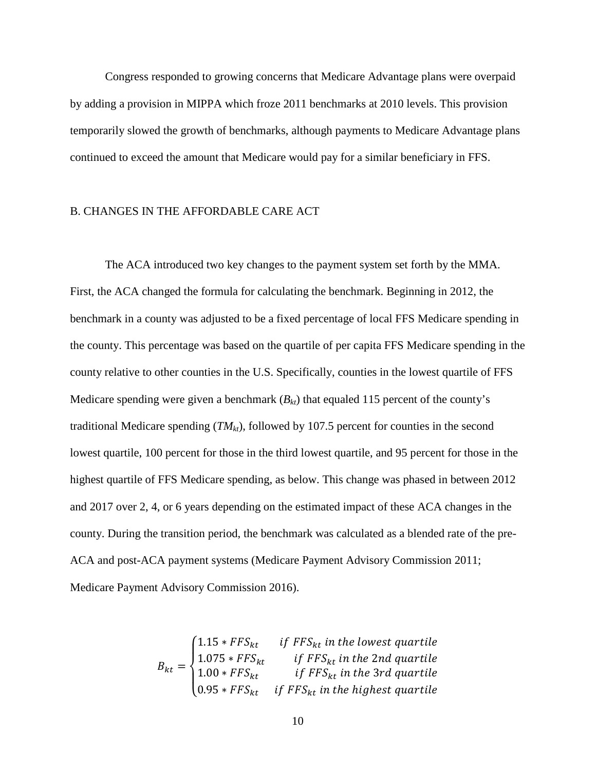Congress responded to growing concerns that Medicare Advantage plans were overpaid by adding a provision in MIPPA which froze 2011 benchmarks at 2010 levels. This provision temporarily slowed the growth of benchmarks, although payments to Medicare Advantage plans continued to exceed the amount that Medicare would pay for a similar beneficiary in FFS.

#### B. CHANGES IN THE AFFORDABLE CARE ACT

The ACA introduced two key changes to the payment system set forth by the MMA. First, the ACA changed the formula for calculating the benchmark. Beginning in 2012, the benchmark in a county was adjusted to be a fixed percentage of local FFS Medicare spending in the county. This percentage was based on the quartile of per capita FFS Medicare spending in the county relative to other counties in the U.S. Specifically, counties in the lowest quartile of FFS Medicare spending were given a benchmark  $(B_{kt})$  that equaled 115 percent of the county's traditional Medicare spending  $(TM<sub>kt</sub>)$ , followed by 107.5 percent for counties in the second lowest quartile, 100 percent for those in the third lowest quartile, and 95 percent for those in the highest quartile of FFS Medicare spending, as below. This change was phased in between 2012 and 2017 over 2, 4, or 6 years depending on the estimated impact of these ACA changes in the county. During the transition period, the benchmark was calculated as a blended rate of the pre-ACA and post-ACA payment systems (Medicare Payment Advisory Commission 2011; Medicare Payment Advisory Commission 2016).

$$
B_{kt} = \begin{cases} 1.15 * FFS_{kt} & \text{if } FFS_{kt} \text{ in the lowest quartile} \\ 1.075 * FFS_{kt} & \text{if } FFS_{kt} \text{ in the 2nd quartile} \\ 1.00 * FFS_{kt} & \text{if } FFS_{kt} \text{ in the 3rd quartile} \\ 0.95 * FFS_{kt} & \text{if } FFS_{kt} \text{ in the highest quartile} \end{cases}
$$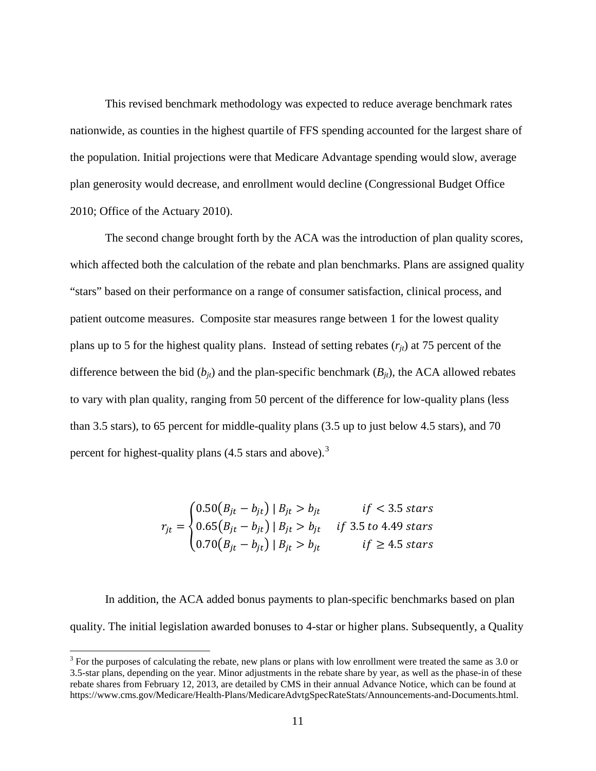This revised benchmark methodology was expected to reduce average benchmark rates nationwide, as counties in the highest quartile of FFS spending accounted for the largest share of the population. Initial projections were that Medicare Advantage spending would slow, average plan generosity would decrease, and enrollment would decline (Congressional Budget Office 2010; Office of the Actuary 2010).

The second change brought forth by the ACA was the introduction of plan quality scores, which affected both the calculation of the rebate and plan benchmarks. Plans are assigned quality "stars" based on their performance on a range of consumer satisfaction, clinical process, and patient outcome measures. Composite star measures range between 1 for the lowest quality plans up to 5 for the highest quality plans. Instead of setting rebates  $(r_{it})$  at 75 percent of the difference between the bid  $(b_{jt})$  and the plan-specific benchmark  $(B_{jt})$ , the ACA allowed rebates to vary with plan quality, ranging from 50 percent of the difference for low-quality plans (less than 3.5 stars), to 65 percent for middle-quality plans (3.5 up to just below 4.5 stars), and 70 percent for highest-quality plans  $(4.5 \text{ stars and above})$ .<sup>[3](#page-10-0)</sup>

$$
r_{jt} = \begin{cases} 0.50(B_{jt} - b_{jt}) \mid B_{jt} > b_{jt} & \text{if} < 3.5 \text{ stars} \\ 0.65(B_{jt} - b_{jt}) \mid B_{jt} & \text{if} & 3.5 \text{ to } 4.49 \text{ stars} \\ 0.70(B_{jt} - b_{jt}) \mid B_{jt} & \text{if} \ge 4.5 \text{ stars} \end{cases}
$$

In addition, the ACA added bonus payments to plan-specific benchmarks based on plan quality. The initial legislation awarded bonuses to 4-star or higher plans. Subsequently, a Quality

<span id="page-10-0"></span><sup>&</sup>lt;sup>3</sup> For the purposes of calculating the rebate, new plans or plans with low enrollment were treated the same as 3.0 or 3.5-star plans, depending on the year. Minor adjustments in the rebate share by year, as well as the phase-in of these rebate shares from February 12, 2013, are detailed by CMS in their annual Advance Notice, which can be found at https://www.cms.gov/Medicare/Health-Plans/MedicareAdvtgSpecRateStats/Announcements-and-Documents.html.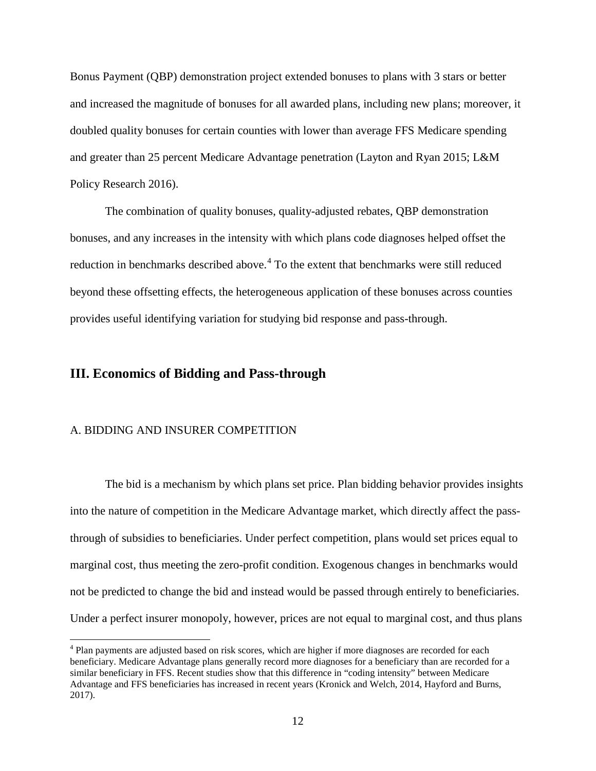Bonus Payment (QBP) demonstration project extended bonuses to plans with 3 stars or better and increased the magnitude of bonuses for all awarded plans, including new plans; moreover, it doubled quality bonuses for certain counties with lower than average FFS Medicare spending and greater than 25 percent Medicare Advantage penetration (Layton and Ryan 2015; L&M Policy Research 2016).

The combination of quality bonuses, quality-adjusted rebates, QBP demonstration bonuses, and any increases in the intensity with which plans code diagnoses helped offset the reduction in benchmarks described above.<sup>[4](#page-11-0)</sup> To the extent that benchmarks were still reduced beyond these offsetting effects, the heterogeneous application of these bonuses across counties provides useful identifying variation for studying bid response and pass-through.

### **III. Economics of Bidding and Pass-through**

### A. BIDDING AND INSURER COMPETITION

The bid is a mechanism by which plans set price. Plan bidding behavior provides insights into the nature of competition in the Medicare Advantage market, which directly affect the passthrough of subsidies to beneficiaries. Under perfect competition, plans would set prices equal to marginal cost, thus meeting the zero-profit condition. Exogenous changes in benchmarks would not be predicted to change the bid and instead would be passed through entirely to beneficiaries. Under a perfect insurer monopoly, however, prices are not equal to marginal cost, and thus plans

<span id="page-11-0"></span><sup>&</sup>lt;sup>4</sup> Plan payments are adjusted based on risk scores, which are higher if more diagnoses are recorded for each beneficiary. Medicare Advantage plans generally record more diagnoses for a beneficiary than are recorded for a similar beneficiary in FFS. Recent studies show that this difference in "coding intensity" between Medicare Advantage and FFS beneficiaries has increased in recent years (Kronick and Welch, 2014, Hayford and Burns, 2017).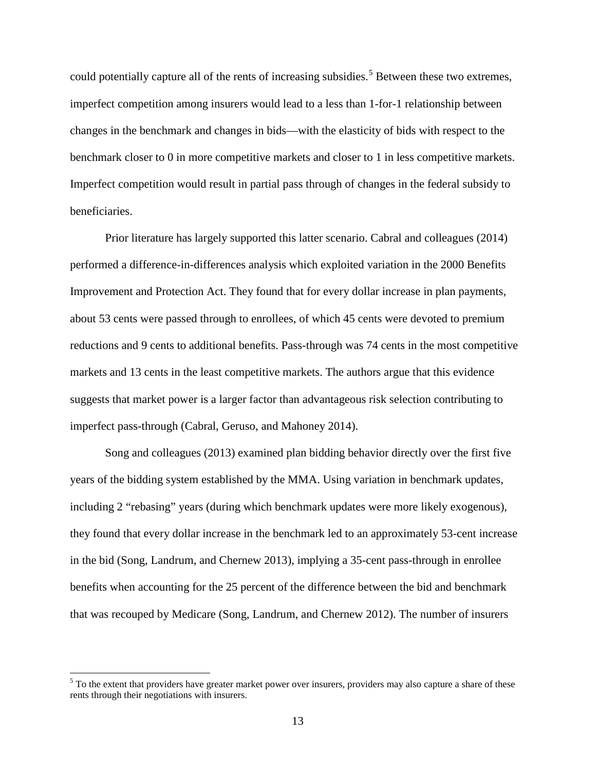could potentially capture all of the rents of increasing subsidies.<sup>[5](#page-12-0)</sup> Between these two extremes, imperfect competition among insurers would lead to a less than 1-for-1 relationship between changes in the benchmark and changes in bids—with the elasticity of bids with respect to the benchmark closer to 0 in more competitive markets and closer to 1 in less competitive markets. Imperfect competition would result in partial pass through of changes in the federal subsidy to beneficiaries.

Prior literature has largely supported this latter scenario. Cabral and colleagues (2014) performed a difference-in-differences analysis which exploited variation in the 2000 Benefits Improvement and Protection Act. They found that for every dollar increase in plan payments, about 53 cents were passed through to enrollees, of which 45 cents were devoted to premium reductions and 9 cents to additional benefits. Pass-through was 74 cents in the most competitive markets and 13 cents in the least competitive markets. The authors argue that this evidence suggests that market power is a larger factor than advantageous risk selection contributing to imperfect pass-through (Cabral, Geruso, and Mahoney 2014).

Song and colleagues (2013) examined plan bidding behavior directly over the first five years of the bidding system established by the MMA. Using variation in benchmark updates, including 2 "rebasing" years (during which benchmark updates were more likely exogenous), they found that every dollar increase in the benchmark led to an approximately 53-cent increase in the bid (Song, Landrum, and Chernew 2013), implying a 35-cent pass-through in enrollee benefits when accounting for the 25 percent of the difference between the bid and benchmark that was recouped by Medicare (Song, Landrum, and Chernew 2012). The number of insurers

<span id="page-12-0"></span> $<sup>5</sup>$  To the extent that providers have greater market power over insurers, providers may also capture a share of these</sup> rents through their negotiations with insurers.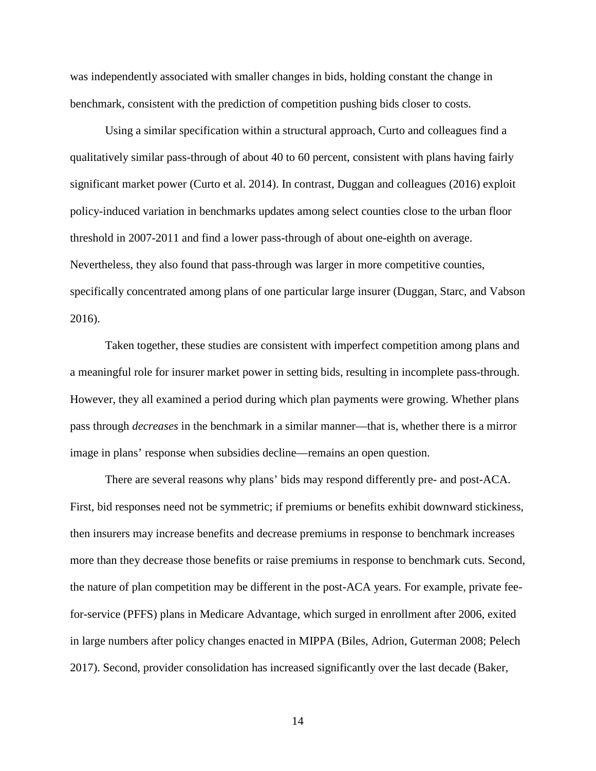was independently associated with smaller changes in bids, holding constant the change in benchmark, consistent with the prediction of competition pushing bids closer to costs.

Using a similar specification within a structural approach, Curto and colleagues find a qualitatively similar pass-through of about 40 to 60 percent, consistent with plans having fairly significant market power (Curto et al. 2014). In contrast, Duggan and colleagues (2016) exploit policy-induced variation in benchmarks updates among select counties close to the urban floor threshold in 2007-2011 and find a lower pass-through of about one-eighth on average. Nevertheless, they also found that pass-through was larger in more competitive counties, specifically concentrated among plans of one particular large insurer (Duggan, Starc, and Vabson 2016).

Taken together, these studies are consistent with imperfect competition among plans and a meaningful role for insurer market power in setting bids, resulting in incomplete pass-through. However, they all examined a period during which plan payments were growing. Whether plans pass through *decreases* in the benchmark in a similar manner—that is, whether there is a mirror image in plans' response when subsidies decline—remains an open question.

There are several reasons why plans' bids may respond differently pre- and post-ACA. First, bid responses need not be symmetric; if premiums or benefits exhibit downward stickiness, then insurers may increase benefits and decrease premiums in response to benchmark increases more than they decrease those benefits or raise premiums in response to benchmark cuts. Second, the nature of plan competition may be different in the post-ACA years. For example, private feefor-service (PFFS) plans in Medicare Advantage, which surged in enrollment after 2006, exited in large numbers after policy changes enacted in MIPPA (Biles, Adrion, Guterman 2008; Pelech 2017). Second, provider consolidation has increased significantly over the last decade (Baker,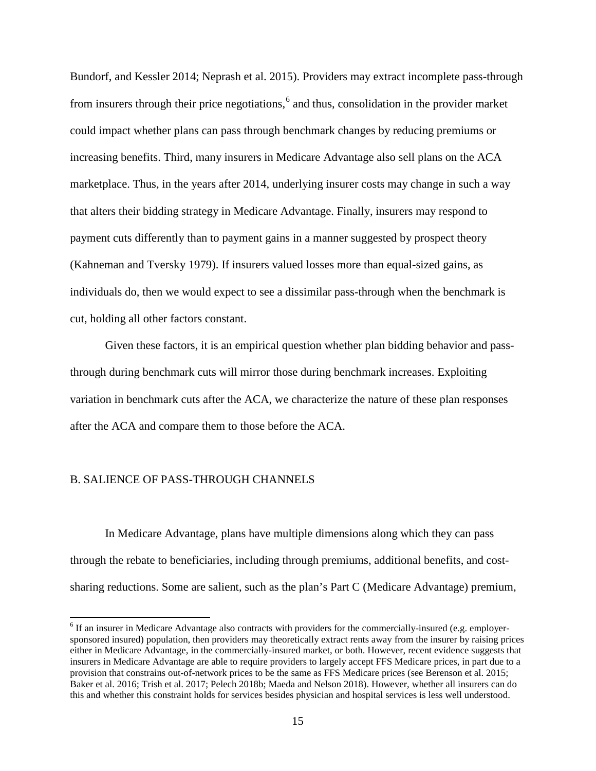Bundorf, and Kessler 2014; Neprash et al. 2015). Providers may extract incomplete pass-through from insurers through their price negotiations, $6$  and thus, consolidation in the provider market could impact whether plans can pass through benchmark changes by reducing premiums or increasing benefits. Third, many insurers in Medicare Advantage also sell plans on the ACA marketplace. Thus, in the years after 2014, underlying insurer costs may change in such a way that alters their bidding strategy in Medicare Advantage. Finally, insurers may respond to payment cuts differently than to payment gains in a manner suggested by prospect theory (Kahneman and Tversky 1979). If insurers valued losses more than equal-sized gains, as individuals do, then we would expect to see a dissimilar pass-through when the benchmark is cut, holding all other factors constant.

Given these factors, it is an empirical question whether plan bidding behavior and passthrough during benchmark cuts will mirror those during benchmark increases. Exploiting variation in benchmark cuts after the ACA, we characterize the nature of these plan responses after the ACA and compare them to those before the ACA.

#### B. SALIENCE OF PASS-THROUGH CHANNELS

In Medicare Advantage, plans have multiple dimensions along which they can pass through the rebate to beneficiaries, including through premiums, additional benefits, and costsharing reductions. Some are salient, such as the plan's Part C (Medicare Advantage) premium,

<span id="page-14-0"></span><sup>&</sup>lt;sup>6</sup> If an insurer in Medicare Advantage also contracts with providers for the commercially-insured (e.g. employersponsored insured) population, then providers may theoretically extract rents away from the insurer by raising prices either in Medicare Advantage, in the commercially-insured market, or both. However, recent evidence suggests that insurers in Medicare Advantage are able to require providers to largely accept FFS Medicare prices, in part due to a provision that constrains out-of-network prices to be the same as FFS Medicare prices (see Berenson et al. 2015; Baker et al. 2016; Trish et al. 2017; Pelech 2018b; Maeda and Nelson 2018). However, whether all insurers can do this and whether this constraint holds for services besides physician and hospital services is less well understood.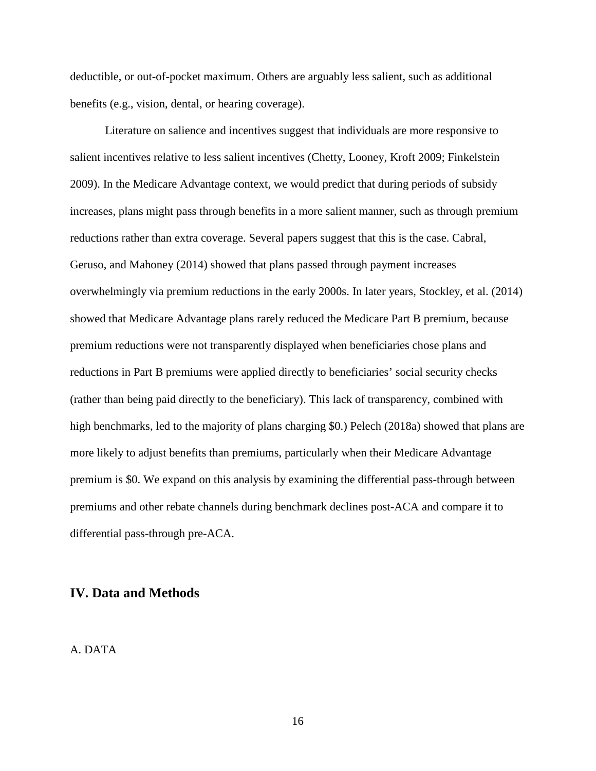deductible, or out-of-pocket maximum. Others are arguably less salient, such as additional benefits (e.g., vision, dental, or hearing coverage).

Literature on salience and incentives suggest that individuals are more responsive to salient incentives relative to less salient incentives (Chetty, Looney, Kroft 2009; Finkelstein 2009). In the Medicare Advantage context, we would predict that during periods of subsidy increases, plans might pass through benefits in a more salient manner, such as through premium reductions rather than extra coverage. Several papers suggest that this is the case. Cabral, Geruso, and Mahoney (2014) showed that plans passed through payment increases overwhelmingly via premium reductions in the early 2000s. In later years, Stockley, et al. (2014) showed that Medicare Advantage plans rarely reduced the Medicare Part B premium, because premium reductions were not transparently displayed when beneficiaries chose plans and reductions in Part B premiums were applied directly to beneficiaries' social security checks (rather than being paid directly to the beneficiary). This lack of transparency, combined with high benchmarks, led to the majority of plans charging \$0.) Pelech (2018a) showed that plans are more likely to adjust benefits than premiums, particularly when their Medicare Advantage premium is \$0. We expand on this analysis by examining the differential pass-through between premiums and other rebate channels during benchmark declines post-ACA and compare it to differential pass-through pre-ACA.

### **IV. Data and Methods**

### A. DATA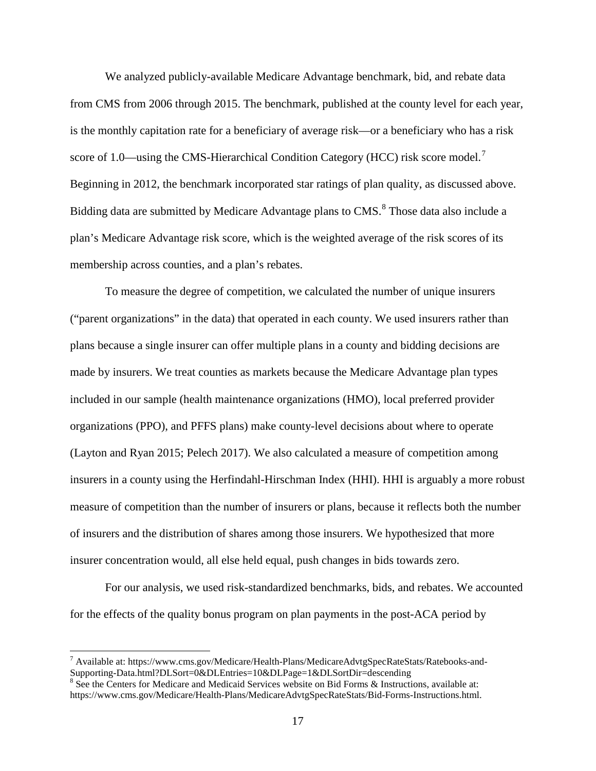We analyzed publicly-available Medicare Advantage benchmark, bid, and rebate data from CMS from 2006 through 2015. The benchmark, published at the county level for each year, is the monthly capitation rate for a beneficiary of average risk—or a beneficiary who has a risk score of 1.0—using the CMS-Hierarchical Condition Category (HCC) risk score model.<sup>[7](#page-16-0)</sup> Beginning in 2012, the benchmark incorporated star ratings of plan quality, as discussed above. Bidding data are submitted by Medicare Advantage plans to CMS.<sup>[8](#page-16-1)</sup> Those data also include a plan's Medicare Advantage risk score, which is the weighted average of the risk scores of its membership across counties, and a plan's rebates.

To measure the degree of competition, we calculated the number of unique insurers ("parent organizations" in the data) that operated in each county. We used insurers rather than plans because a single insurer can offer multiple plans in a county and bidding decisions are made by insurers. We treat counties as markets because the Medicare Advantage plan types included in our sample (health maintenance organizations (HMO), local preferred provider organizations (PPO), and PFFS plans) make county-level decisions about where to operate (Layton and Ryan 2015; Pelech 2017). We also calculated a measure of competition among insurers in a county using the Herfindahl-Hirschman Index (HHI). HHI is arguably a more robust measure of competition than the number of insurers or plans, because it reflects both the number of insurers and the distribution of shares among those insurers. We hypothesized that more insurer concentration would, all else held equal, push changes in bids towards zero.

For our analysis, we used risk-standardized benchmarks, bids, and rebates. We accounted for the effects of the quality bonus program on plan payments in the post-ACA period by

<span id="page-16-0"></span><sup>&</sup>lt;sup>7</sup> Available at: https://www.cms.gov/Medicare/Health-Plans/MedicareAdvtgSpecRateStats/Ratebooks-and-Supporting-Data.html?DLSort=0&DLEntries=10&DLPage=1&DLSortDir=descending

<span id="page-16-1"></span> $8 \text{ See the Centers for Medicine and Medical Services website on Bid Forms & Instructions, available at:}$ https://www.cms.gov/Medicare/Health-Plans/MedicareAdvtgSpecRateStats/Bid-Forms-Instructions.html.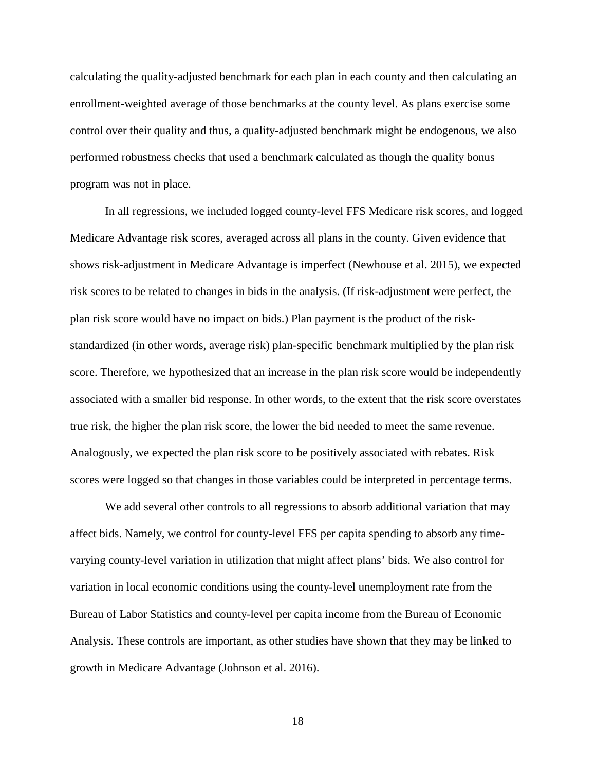calculating the quality-adjusted benchmark for each plan in each county and then calculating an enrollment-weighted average of those benchmarks at the county level. As plans exercise some control over their quality and thus, a quality-adjusted benchmark might be endogenous, we also performed robustness checks that used a benchmark calculated as though the quality bonus program was not in place.

In all regressions, we included logged county-level FFS Medicare risk scores, and logged Medicare Advantage risk scores, averaged across all plans in the county. Given evidence that shows risk-adjustment in Medicare Advantage is imperfect (Newhouse et al. 2015), we expected risk scores to be related to changes in bids in the analysis. (If risk-adjustment were perfect, the plan risk score would have no impact on bids.) Plan payment is the product of the riskstandardized (in other words, average risk) plan-specific benchmark multiplied by the plan risk score. Therefore, we hypothesized that an increase in the plan risk score would be independently associated with a smaller bid response. In other words, to the extent that the risk score overstates true risk, the higher the plan risk score, the lower the bid needed to meet the same revenue. Analogously, we expected the plan risk score to be positively associated with rebates. Risk scores were logged so that changes in those variables could be interpreted in percentage terms.

We add several other controls to all regressions to absorb additional variation that may affect bids. Namely, we control for county-level FFS per capita spending to absorb any timevarying county-level variation in utilization that might affect plans' bids. We also control for variation in local economic conditions using the county-level unemployment rate from the Bureau of Labor Statistics and county-level per capita income from the Bureau of Economic Analysis. These controls are important, as other studies have shown that they may be linked to growth in Medicare Advantage (Johnson et al. 2016).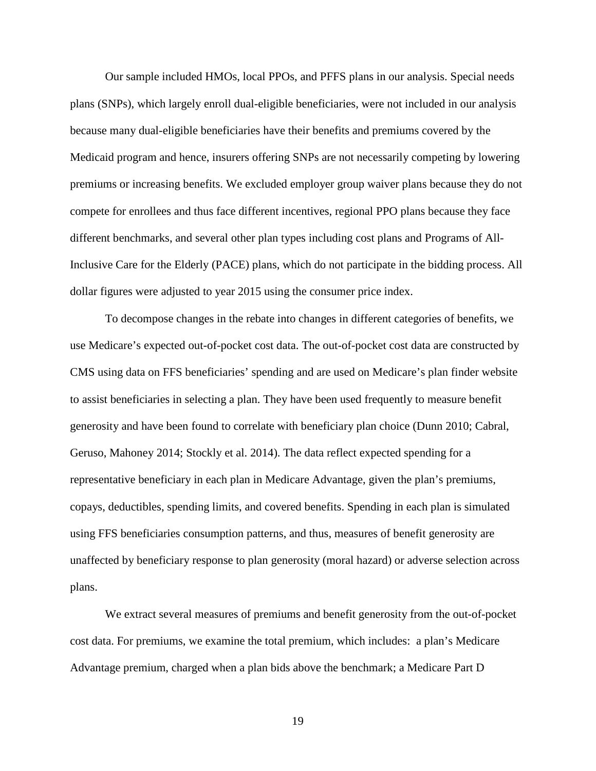Our sample included HMOs, local PPOs, and PFFS plans in our analysis. Special needs plans (SNPs), which largely enroll dual-eligible beneficiaries, were not included in our analysis because many dual-eligible beneficiaries have their benefits and premiums covered by the Medicaid program and hence, insurers offering SNPs are not necessarily competing by lowering premiums or increasing benefits. We excluded employer group waiver plans because they do not compete for enrollees and thus face different incentives, regional PPO plans because they face different benchmarks, and several other plan types including cost plans and Programs of All-Inclusive Care for the Elderly (PACE) plans, which do not participate in the bidding process. All dollar figures were adjusted to year 2015 using the consumer price index.

To decompose changes in the rebate into changes in different categories of benefits, we use Medicare's expected out-of-pocket cost data. The out-of-pocket cost data are constructed by CMS using data on FFS beneficiaries' spending and are used on Medicare's plan finder website to assist beneficiaries in selecting a plan. They have been used frequently to measure benefit generosity and have been found to correlate with beneficiary plan choice (Dunn 2010; Cabral, Geruso, Mahoney 2014; Stockly et al. 2014). The data reflect expected spending for a representative beneficiary in each plan in Medicare Advantage, given the plan's premiums, copays, deductibles, spending limits, and covered benefits. Spending in each plan is simulated using FFS beneficiaries consumption patterns, and thus, measures of benefit generosity are unaffected by beneficiary response to plan generosity (moral hazard) or adverse selection across plans.

We extract several measures of premiums and benefit generosity from the out-of-pocket cost data. For premiums, we examine the total premium, which includes: a plan's Medicare Advantage premium, charged when a plan bids above the benchmark; a Medicare Part D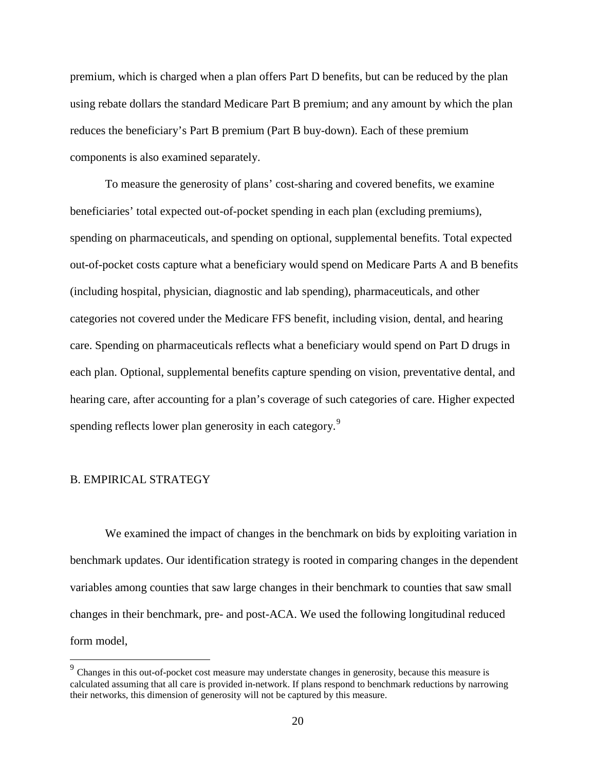premium, which is charged when a plan offers Part D benefits, but can be reduced by the plan using rebate dollars the standard Medicare Part B premium; and any amount by which the plan reduces the beneficiary's Part B premium (Part B buy-down). Each of these premium components is also examined separately.

To measure the generosity of plans' cost-sharing and covered benefits, we examine beneficiaries' total expected out-of-pocket spending in each plan (excluding premiums), spending on pharmaceuticals, and spending on optional, supplemental benefits. Total expected out-of-pocket costs capture what a beneficiary would spend on Medicare Parts A and B benefits (including hospital, physician, diagnostic and lab spending), pharmaceuticals, and other categories not covered under the Medicare FFS benefit, including vision, dental, and hearing care. Spending on pharmaceuticals reflects what a beneficiary would spend on Part D drugs in each plan. Optional, supplemental benefits capture spending on vision, preventative dental, and hearing care, after accounting for a plan's coverage of such categories of care. Higher expected spending reflects lower plan generosity in each category.<sup>[9](#page-19-0)</sup>

### B. EMPIRICAL STRATEGY

We examined the impact of changes in the benchmark on bids by exploiting variation in benchmark updates. Our identification strategy is rooted in comparing changes in the dependent variables among counties that saw large changes in their benchmark to counties that saw small changes in their benchmark, pre- and post-ACA. We used the following longitudinal reduced form model,

<span id="page-19-0"></span><sup>&</sup>lt;sup>9</sup> Changes in this out-of-pocket cost measure may understate changes in generosity, because this measure is calculated assuming that all care is provided in-network. If plans respond to benchmark reductions by narrowing their networks, this dimension of generosity will not be captured by this measure.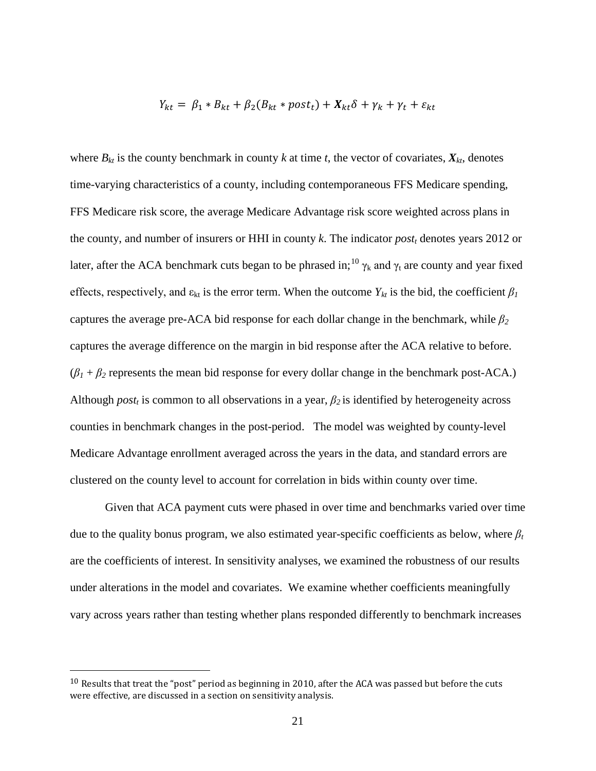$$
Y_{kt} = \beta_1 * B_{kt} + \beta_2 (B_{kt} * post_t) + X_{kt} \delta + \gamma_k + \gamma_t + \varepsilon_{kt}
$$

where  $B_{kt}$  is the county benchmark in county k at time t, the vector of covariates,  $X_{kt}$ , denotes time-varying characteristics of a county, including contemporaneous FFS Medicare spending, FFS Medicare risk score, the average Medicare Advantage risk score weighted across plans in the county, and number of insurers or HHI in county *k*. The indicator *postt* denotes years 2012 or later, after the ACA benchmark cuts began to be phrased in; <sup>[10](#page-20-0)</sup>  $\gamma_k$  and  $\gamma_t$  are county and year fixed effects, respectively, and  $\varepsilon_{kt}$  is the error term. When the outcome  $Y_{kt}$  is the bid, the coefficient  $\beta_I$ captures the average pre-ACA bid response for each dollar change in the benchmark, while *β<sup>2</sup>* captures the average difference on the margin in bid response after the ACA relative to before.  $(\beta_1 + \beta_2)$  represents the mean bid response for every dollar change in the benchmark post-ACA.) Although  $post_t$  is common to all observations in a year,  $\beta_2$  is identified by heterogeneity across counties in benchmark changes in the post-period. The model was weighted by county-level Medicare Advantage enrollment averaged across the years in the data, and standard errors are clustered on the county level to account for correlation in bids within county over time.

Given that ACA payment cuts were phased in over time and benchmarks varied over time due to the quality bonus program, we also estimated year-specific coefficients as below, where *β<sup>t</sup>* are the coefficients of interest. In sensitivity analyses, we examined the robustness of our results under alterations in the model and covariates. We examine whether coefficients meaningfully vary across years rather than testing whether plans responded differently to benchmark increases

<span id="page-20-0"></span> $10$  Results that treat the "post" period as beginning in 2010, after the ACA was passed but before the cuts were effective, are discussed in a section on sensitivity analysis.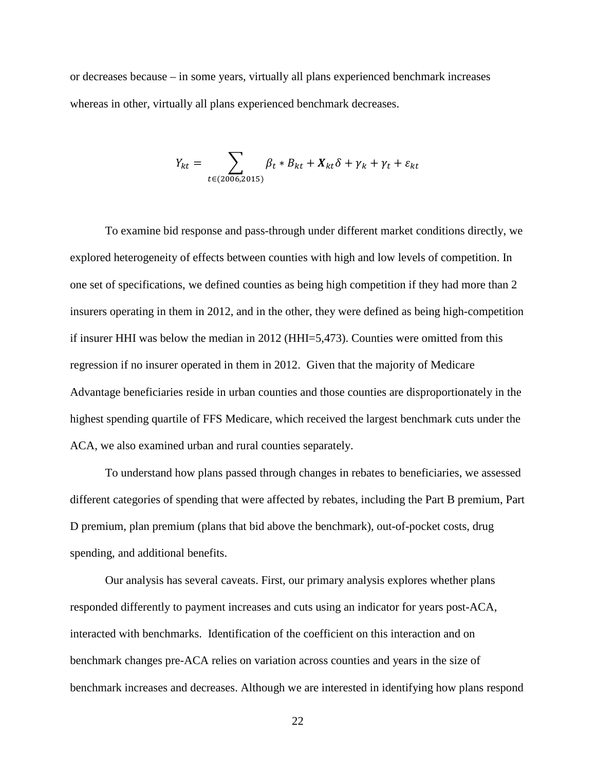or decreases because – in some years, virtually all plans experienced benchmark increases whereas in other, virtually all plans experienced benchmark decreases.

$$
Y_{kt} = \sum_{t \in (2006, 2015)} \beta_t * B_{kt} + X_{kt} \delta + \gamma_k + \gamma_t + \varepsilon_{kt}
$$

To examine bid response and pass-through under different market conditions directly, we explored heterogeneity of effects between counties with high and low levels of competition. In one set of specifications, we defined counties as being high competition if they had more than 2 insurers operating in them in 2012, and in the other, they were defined as being high-competition if insurer HHI was below the median in 2012 (HHI=5,473). Counties were omitted from this regression if no insurer operated in them in 2012. Given that the majority of Medicare Advantage beneficiaries reside in urban counties and those counties are disproportionately in the highest spending quartile of FFS Medicare, which received the largest benchmark cuts under the ACA, we also examined urban and rural counties separately.

To understand how plans passed through changes in rebates to beneficiaries, we assessed different categories of spending that were affected by rebates, including the Part B premium, Part D premium, plan premium (plans that bid above the benchmark), out-of-pocket costs, drug spending, and additional benefits.

Our analysis has several caveats. First, our primary analysis explores whether plans responded differently to payment increases and cuts using an indicator for years post-ACA, interacted with benchmarks. Identification of the coefficient on this interaction and on benchmark changes pre-ACA relies on variation across counties and years in the size of benchmark increases and decreases. Although we are interested in identifying how plans respond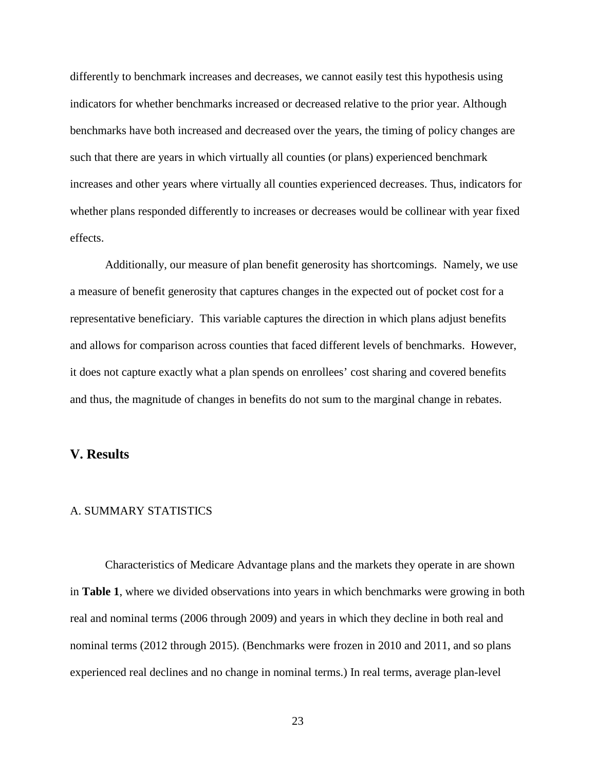differently to benchmark increases and decreases, we cannot easily test this hypothesis using indicators for whether benchmarks increased or decreased relative to the prior year. Although benchmarks have both increased and decreased over the years, the timing of policy changes are such that there are years in which virtually all counties (or plans) experienced benchmark increases and other years where virtually all counties experienced decreases. Thus, indicators for whether plans responded differently to increases or decreases would be collinear with year fixed effects.

Additionally, our measure of plan benefit generosity has shortcomings. Namely, we use a measure of benefit generosity that captures changes in the expected out of pocket cost for a representative beneficiary. This variable captures the direction in which plans adjust benefits and allows for comparison across counties that faced different levels of benchmarks. However, it does not capture exactly what a plan spends on enrollees' cost sharing and covered benefits and thus, the magnitude of changes in benefits do not sum to the marginal change in rebates.

## **V. Results**

### A. SUMMARY STATISTICS

Characteristics of Medicare Advantage plans and the markets they operate in are shown in **Table 1**, where we divided observations into years in which benchmarks were growing in both real and nominal terms (2006 through 2009) and years in which they decline in both real and nominal terms (2012 through 2015). (Benchmarks were frozen in 2010 and 2011, and so plans experienced real declines and no change in nominal terms.) In real terms, average plan-level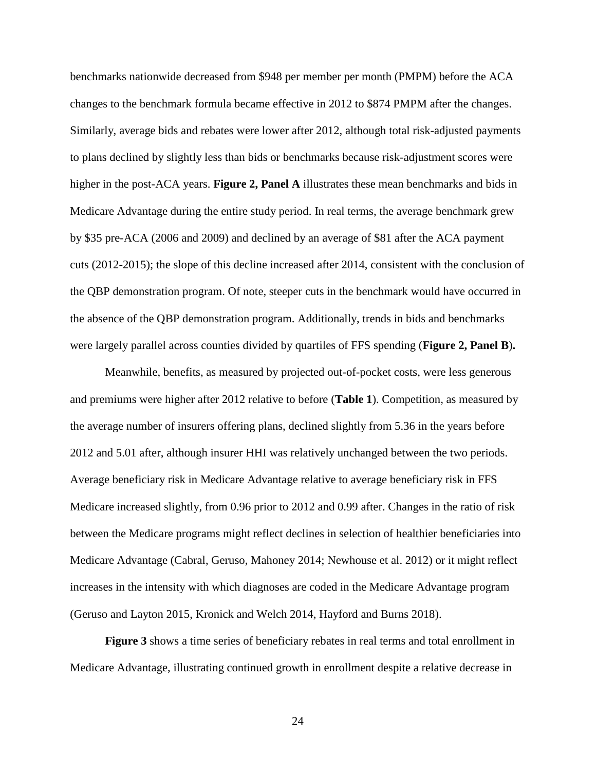benchmarks nationwide decreased from \$948 per member per month (PMPM) before the ACA changes to the benchmark formula became effective in 2012 to \$874 PMPM after the changes. Similarly, average bids and rebates were lower after 2012, although total risk-adjusted payments to plans declined by slightly less than bids or benchmarks because risk-adjustment scores were higher in the post-ACA years. **Figure 2, Panel A** illustrates these mean benchmarks and bids in Medicare Advantage during the entire study period. In real terms, the average benchmark grew by \$35 pre-ACA (2006 and 2009) and declined by an average of \$81 after the ACA payment cuts (2012-2015); the slope of this decline increased after 2014, consistent with the conclusion of the QBP demonstration program. Of note, steeper cuts in the benchmark would have occurred in the absence of the QBP demonstration program. Additionally, trends in bids and benchmarks were largely parallel across counties divided by quartiles of FFS spending (**Figure 2, Panel B**)**.** 

Meanwhile, benefits, as measured by projected out-of-pocket costs, were less generous and premiums were higher after 2012 relative to before (**Table 1**). Competition, as measured by the average number of insurers offering plans, declined slightly from 5.36 in the years before 2012 and 5.01 after, although insurer HHI was relatively unchanged between the two periods. Average beneficiary risk in Medicare Advantage relative to average beneficiary risk in FFS Medicare increased slightly, from 0.96 prior to 2012 and 0.99 after. Changes in the ratio of risk between the Medicare programs might reflect declines in selection of healthier beneficiaries into Medicare Advantage (Cabral, Geruso, Mahoney 2014; Newhouse et al. 2012) or it might reflect increases in the intensity with which diagnoses are coded in the Medicare Advantage program (Geruso and Layton 2015, Kronick and Welch 2014, Hayford and Burns 2018).

**Figure 3** shows a time series of beneficiary rebates in real terms and total enrollment in Medicare Advantage, illustrating continued growth in enrollment despite a relative decrease in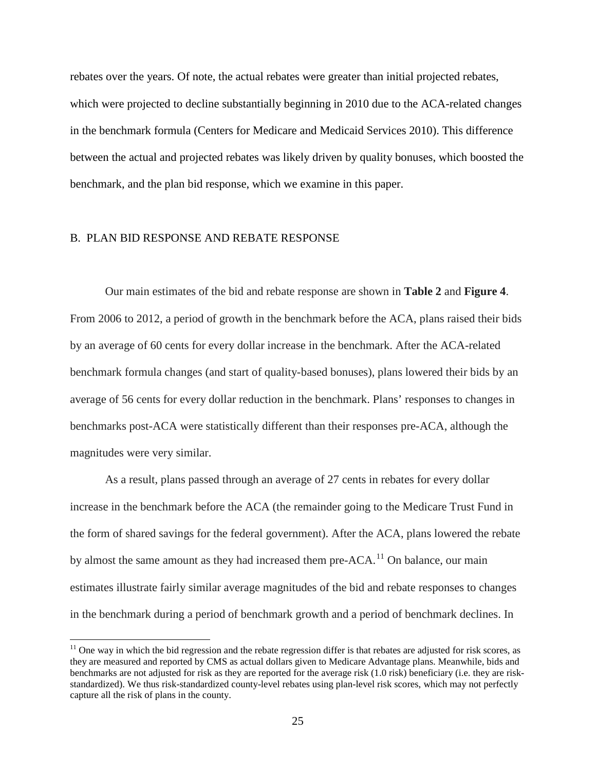rebates over the years. Of note, the actual rebates were greater than initial projected rebates, which were projected to decline substantially beginning in 2010 due to the ACA-related changes in the benchmark formula (Centers for Medicare and Medicaid Services 2010). This difference between the actual and projected rebates was likely driven by quality bonuses, which boosted the benchmark, and the plan bid response, which we examine in this paper.

### B. PLAN BID RESPONSE AND REBATE RESPONSE

Our main estimates of the bid and rebate response are shown in **Table 2** and **Figure 4**. From 2006 to 2012, a period of growth in the benchmark before the ACA, plans raised their bids by an average of 60 cents for every dollar increase in the benchmark. After the ACA-related benchmark formula changes (and start of quality-based bonuses), plans lowered their bids by an average of 56 cents for every dollar reduction in the benchmark. Plans' responses to changes in benchmarks post-ACA were statistically different than their responses pre-ACA, although the magnitudes were very similar.

As a result, plans passed through an average of 27 cents in rebates for every dollar increase in the benchmark before the ACA (the remainder going to the Medicare Trust Fund in the form of shared savings for the federal government). After the ACA, plans lowered the rebate by almost the same amount as they had increased them pre-ACA.<sup>[11](#page-24-0)</sup> On balance, our main estimates illustrate fairly similar average magnitudes of the bid and rebate responses to changes in the benchmark during a period of benchmark growth and a period of benchmark declines. In

<span id="page-24-0"></span> $11$  One way in which the bid regression and the rebate regression differ is that rebates are adjusted for risk scores, as they are measured and reported by CMS as actual dollars given to Medicare Advantage plans. Meanwhile, bids and benchmarks are not adjusted for risk as they are reported for the average risk (1.0 risk) beneficiary (i.e. they are riskstandardized). We thus risk-standardized county-level rebates using plan-level risk scores, which may not perfectly capture all the risk of plans in the county.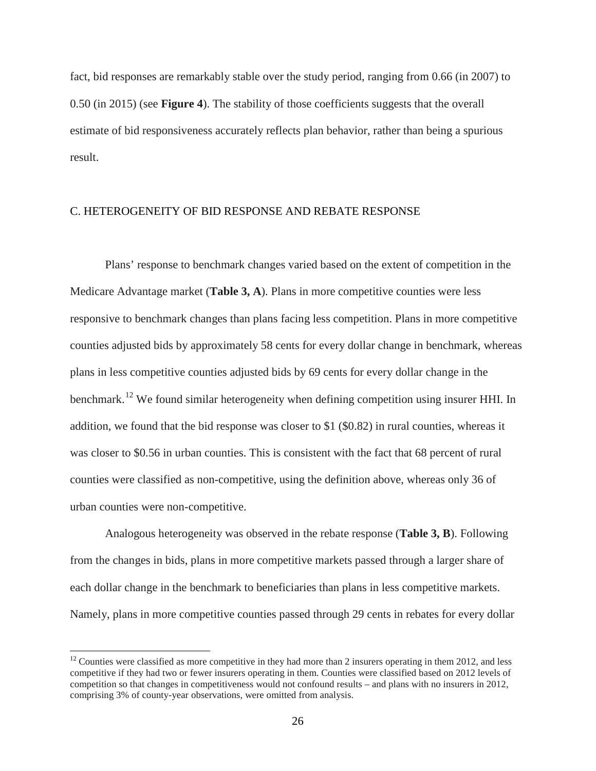fact, bid responses are remarkably stable over the study period, ranging from 0.66 (in 2007) to 0.50 (in 2015) (see **Figure 4**). The stability of those coefficients suggests that the overall estimate of bid responsiveness accurately reflects plan behavior, rather than being a spurious result.

## C. HETEROGENEITY OF BID RESPONSE AND REBATE RESPONSE

Plans' response to benchmark changes varied based on the extent of competition in the Medicare Advantage market (**Table 3, A**). Plans in more competitive counties were less responsive to benchmark changes than plans facing less competition. Plans in more competitive counties adjusted bids by approximately 58 cents for every dollar change in benchmark, whereas plans in less competitive counties adjusted bids by 69 cents for every dollar change in the benchmark.<sup>[12](#page-25-0)</sup> We found similar heterogeneity when defining competition using insurer HHI. In addition, we found that the bid response was closer to \$1 (\$0.82) in rural counties, whereas it was closer to \$0.56 in urban counties. This is consistent with the fact that 68 percent of rural counties were classified as non-competitive, using the definition above, whereas only 36 of urban counties were non-competitive.

Analogous heterogeneity was observed in the rebate response (**Table 3, B**). Following from the changes in bids, plans in more competitive markets passed through a larger share of each dollar change in the benchmark to beneficiaries than plans in less competitive markets. Namely, plans in more competitive counties passed through 29 cents in rebates for every dollar

<span id="page-25-0"></span> $12$  Counties were classified as more competitive in they had more than 2 insurers operating in them 2012, and less competitive if they had two or fewer insurers operating in them. Counties were classified based on 2012 levels of competition so that changes in competitiveness would not confound results – and plans with no insurers in 2012, comprising 3% of county-year observations, were omitted from analysis.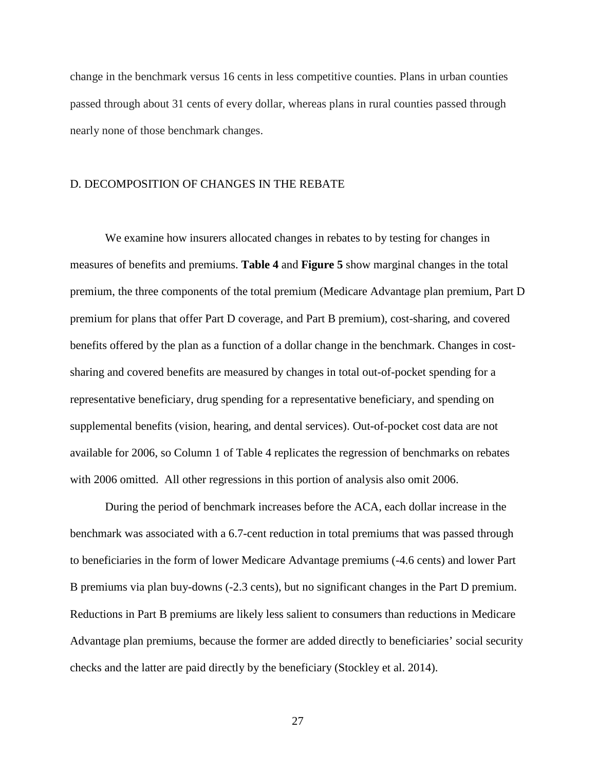change in the benchmark versus 16 cents in less competitive counties. Plans in urban counties passed through about 31 cents of every dollar, whereas plans in rural counties passed through nearly none of those benchmark changes.

#### D. DECOMPOSITION OF CHANGES IN THE REBATE

We examine how insurers allocated changes in rebates to by testing for changes in measures of benefits and premiums. **Table 4** and **Figure 5** show marginal changes in the total premium, the three components of the total premium (Medicare Advantage plan premium, Part D premium for plans that offer Part D coverage, and Part B premium), cost-sharing, and covered benefits offered by the plan as a function of a dollar change in the benchmark. Changes in costsharing and covered benefits are measured by changes in total out-of-pocket spending for a representative beneficiary, drug spending for a representative beneficiary, and spending on supplemental benefits (vision, hearing, and dental services). Out-of-pocket cost data are not available for 2006, so Column 1 of Table 4 replicates the regression of benchmarks on rebates with 2006 omitted. All other regressions in this portion of analysis also omit 2006.

During the period of benchmark increases before the ACA, each dollar increase in the benchmark was associated with a 6.7-cent reduction in total premiums that was passed through to beneficiaries in the form of lower Medicare Advantage premiums (-4.6 cents) and lower Part B premiums via plan buy-downs (-2.3 cents), but no significant changes in the Part D premium. Reductions in Part B premiums are likely less salient to consumers than reductions in Medicare Advantage plan premiums, because the former are added directly to beneficiaries' social security checks and the latter are paid directly by the beneficiary (Stockley et al. 2014).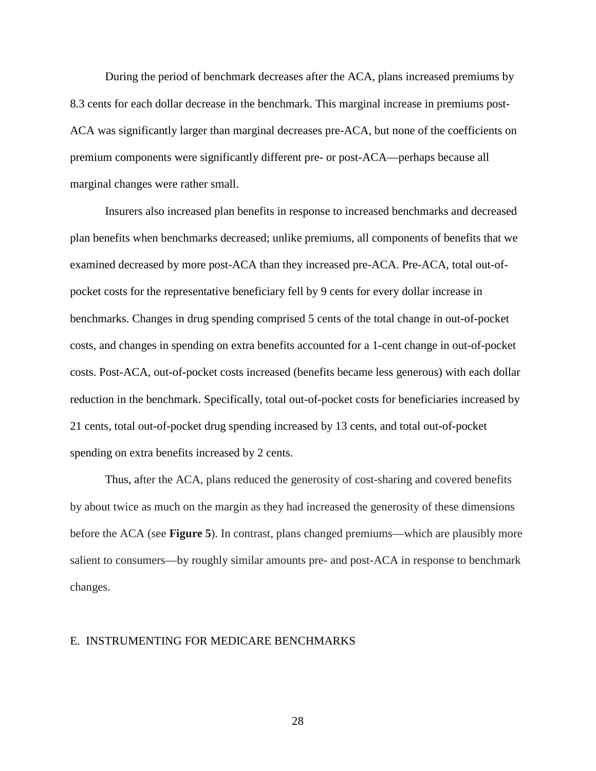During the period of benchmark decreases after the ACA, plans increased premiums by 8.3 cents for each dollar decrease in the benchmark. This marginal increase in premiums post-ACA was significantly larger than marginal decreases pre-ACA, but none of the coefficients on premium components were significantly different pre- or post-ACA—perhaps because all marginal changes were rather small.

Insurers also increased plan benefits in response to increased benchmarks and decreased plan benefits when benchmarks decreased; unlike premiums, all components of benefits that we examined decreased by more post-ACA than they increased pre-ACA. Pre-ACA, total out-ofpocket costs for the representative beneficiary fell by 9 cents for every dollar increase in benchmarks. Changes in drug spending comprised 5 cents of the total change in out-of-pocket costs, and changes in spending on extra benefits accounted for a 1-cent change in out-of-pocket costs. Post-ACA, out-of-pocket costs increased (benefits became less generous) with each dollar reduction in the benchmark. Specifically, total out-of-pocket costs for beneficiaries increased by 21 cents, total out-of-pocket drug spending increased by 13 cents, and total out-of-pocket spending on extra benefits increased by 2 cents.

Thus, after the ACA, plans reduced the generosity of cost-sharing and covered benefits by about twice as much on the margin as they had increased the generosity of these dimensions before the ACA (see **Figure 5**). In contrast, plans changed premiums—which are plausibly more salient to consumers—by roughly similar amounts pre- and post-ACA in response to benchmark changes.

#### E. INSTRUMENTING FOR MEDICARE BENCHMARKS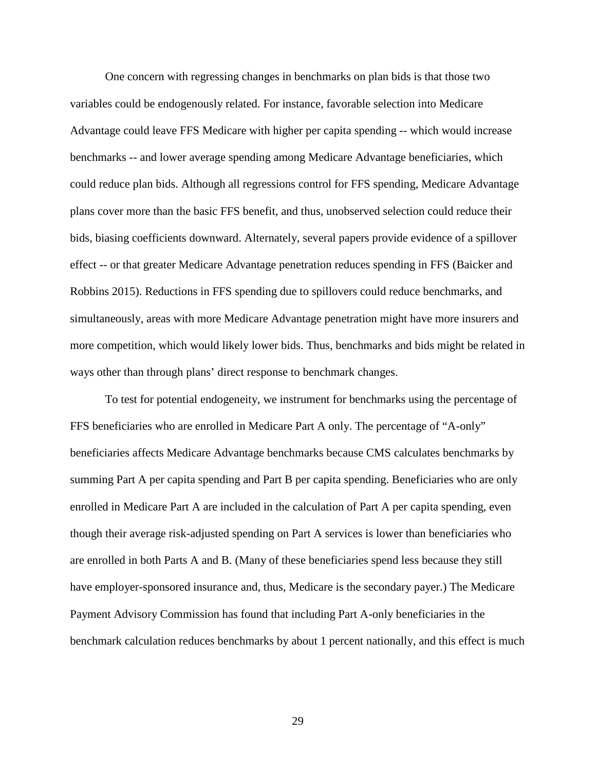One concern with regressing changes in benchmarks on plan bids is that those two variables could be endogenously related. For instance, favorable selection into Medicare Advantage could leave FFS Medicare with higher per capita spending -- which would increase benchmarks -- and lower average spending among Medicare Advantage beneficiaries, which could reduce plan bids. Although all regressions control for FFS spending, Medicare Advantage plans cover more than the basic FFS benefit, and thus, unobserved selection could reduce their bids, biasing coefficients downward. Alternately, several papers provide evidence of a spillover effect -- or that greater Medicare Advantage penetration reduces spending in FFS (Baicker and Robbins 2015). Reductions in FFS spending due to spillovers could reduce benchmarks, and simultaneously, areas with more Medicare Advantage penetration might have more insurers and more competition, which would likely lower bids. Thus, benchmarks and bids might be related in ways other than through plans' direct response to benchmark changes.

To test for potential endogeneity, we instrument for benchmarks using the percentage of FFS beneficiaries who are enrolled in Medicare Part A only. The percentage of "A-only" beneficiaries affects Medicare Advantage benchmarks because CMS calculates benchmarks by summing Part A per capita spending and Part B per capita spending. Beneficiaries who are only enrolled in Medicare Part A are included in the calculation of Part A per capita spending, even though their average risk-adjusted spending on Part A services is lower than beneficiaries who are enrolled in both Parts A and B. (Many of these beneficiaries spend less because they still have employer-sponsored insurance and, thus, Medicare is the secondary payer.) The Medicare Payment Advisory Commission has found that including Part A-only beneficiaries in the benchmark calculation reduces benchmarks by about 1 percent nationally, and this effect is much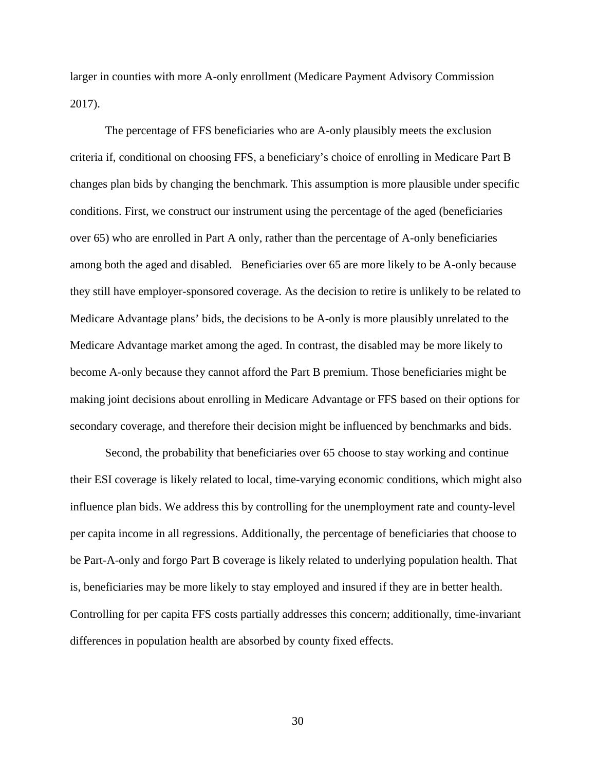larger in counties with more A-only enrollment (Medicare Payment Advisory Commission 2017).

The percentage of FFS beneficiaries who are A-only plausibly meets the exclusion criteria if, conditional on choosing FFS, a beneficiary's choice of enrolling in Medicare Part B changes plan bids by changing the benchmark. This assumption is more plausible under specific conditions. First, we construct our instrument using the percentage of the aged (beneficiaries over 65) who are enrolled in Part A only, rather than the percentage of A-only beneficiaries among both the aged and disabled. Beneficiaries over 65 are more likely to be A-only because they still have employer-sponsored coverage. As the decision to retire is unlikely to be related to Medicare Advantage plans' bids, the decisions to be A-only is more plausibly unrelated to the Medicare Advantage market among the aged. In contrast, the disabled may be more likely to become A-only because they cannot afford the Part B premium. Those beneficiaries might be making joint decisions about enrolling in Medicare Advantage or FFS based on their options for secondary coverage, and therefore their decision might be influenced by benchmarks and bids.

Second, the probability that beneficiaries over 65 choose to stay working and continue their ESI coverage is likely related to local, time-varying economic conditions, which might also influence plan bids. We address this by controlling for the unemployment rate and county-level per capita income in all regressions. Additionally, the percentage of beneficiaries that choose to be Part-A-only and forgo Part B coverage is likely related to underlying population health. That is, beneficiaries may be more likely to stay employed and insured if they are in better health. Controlling for per capita FFS costs partially addresses this concern; additionally, time-invariant differences in population health are absorbed by county fixed effects.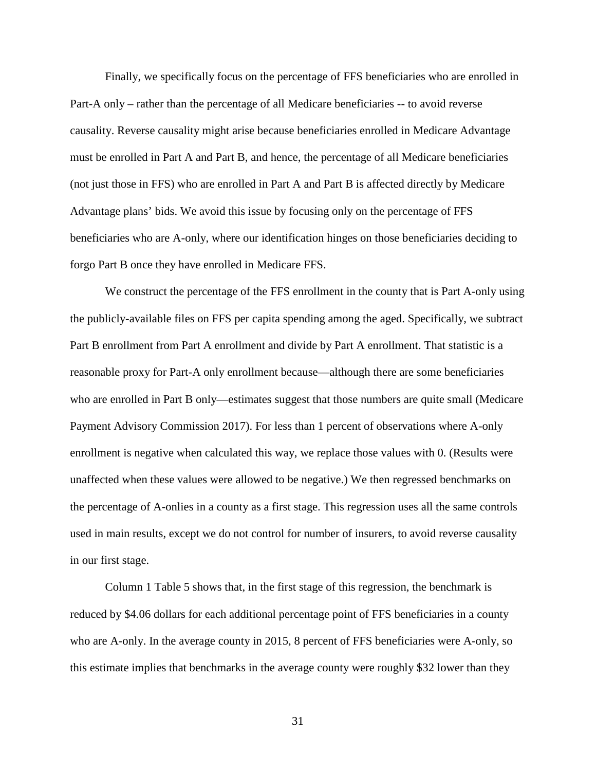Finally, we specifically focus on the percentage of FFS beneficiaries who are enrolled in Part-A only – rather than the percentage of all Medicare beneficiaries -- to avoid reverse causality. Reverse causality might arise because beneficiaries enrolled in Medicare Advantage must be enrolled in Part A and Part B, and hence, the percentage of all Medicare beneficiaries (not just those in FFS) who are enrolled in Part A and Part B is affected directly by Medicare Advantage plans' bids. We avoid this issue by focusing only on the percentage of FFS beneficiaries who are A-only, where our identification hinges on those beneficiaries deciding to forgo Part B once they have enrolled in Medicare FFS.

We construct the percentage of the FFS enrollment in the county that is Part A-only using the publicly-available files on FFS per capita spending among the aged. Specifically, we subtract Part B enrollment from Part A enrollment and divide by Part A enrollment. That statistic is a reasonable proxy for Part-A only enrollment because—although there are some beneficiaries who are enrolled in Part B only—estimates suggest that those numbers are quite small (Medicare Payment Advisory Commission 2017). For less than 1 percent of observations where A-only enrollment is negative when calculated this way, we replace those values with 0. (Results were unaffected when these values were allowed to be negative.) We then regressed benchmarks on the percentage of A-onlies in a county as a first stage. This regression uses all the same controls used in main results, except we do not control for number of insurers, to avoid reverse causality in our first stage.

Column 1 Table 5 shows that, in the first stage of this regression, the benchmark is reduced by \$4.06 dollars for each additional percentage point of FFS beneficiaries in a county who are A-only. In the average county in 2015, 8 percent of FFS beneficiaries were A-only, so this estimate implies that benchmarks in the average county were roughly \$32 lower than they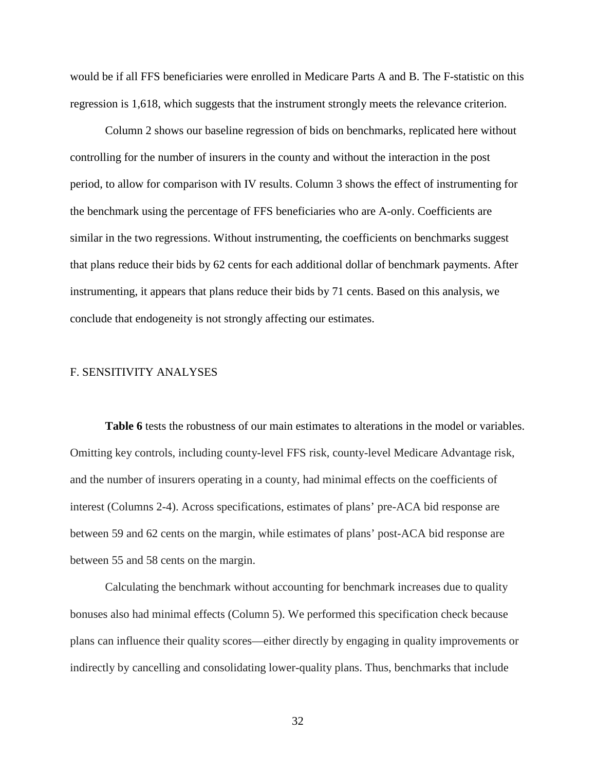would be if all FFS beneficiaries were enrolled in Medicare Parts A and B. The F-statistic on this regression is 1,618, which suggests that the instrument strongly meets the relevance criterion.

Column 2 shows our baseline regression of bids on benchmarks, replicated here without controlling for the number of insurers in the county and without the interaction in the post period, to allow for comparison with IV results. Column 3 shows the effect of instrumenting for the benchmark using the percentage of FFS beneficiaries who are A-only. Coefficients are similar in the two regressions. Without instrumenting, the coefficients on benchmarks suggest that plans reduce their bids by 62 cents for each additional dollar of benchmark payments. After instrumenting, it appears that plans reduce their bids by 71 cents. Based on this analysis, we conclude that endogeneity is not strongly affecting our estimates.

### F. SENSITIVITY ANALYSES

**Table 6** tests the robustness of our main estimates to alterations in the model or variables. Omitting key controls, including county-level FFS risk, county-level Medicare Advantage risk, and the number of insurers operating in a county, had minimal effects on the coefficients of interest (Columns 2-4). Across specifications, estimates of plans' pre-ACA bid response are between 59 and 62 cents on the margin, while estimates of plans' post-ACA bid response are between 55 and 58 cents on the margin.

Calculating the benchmark without accounting for benchmark increases due to quality bonuses also had minimal effects (Column 5). We performed this specification check because plans can influence their quality scores—either directly by engaging in quality improvements or indirectly by cancelling and consolidating lower-quality plans. Thus, benchmarks that include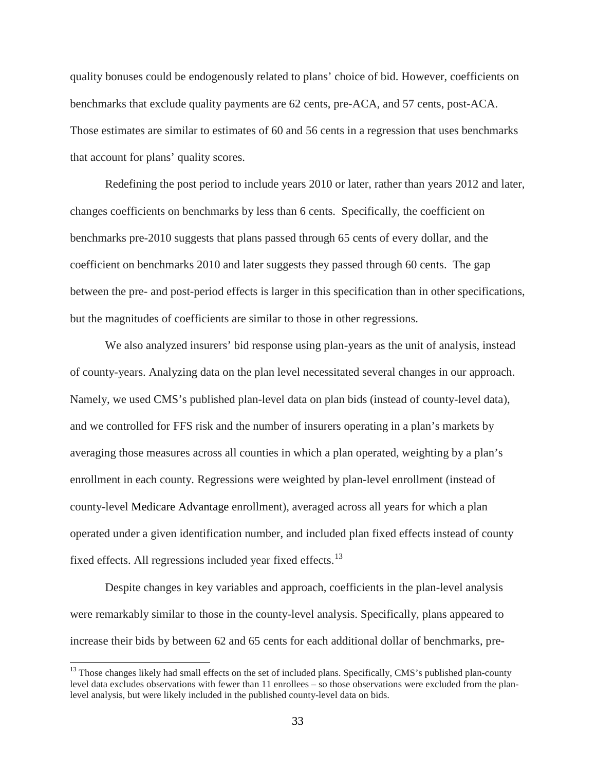quality bonuses could be endogenously related to plans' choice of bid. However, coefficients on benchmarks that exclude quality payments are 62 cents, pre-ACA, and 57 cents, post-ACA. Those estimates are similar to estimates of 60 and 56 cents in a regression that uses benchmarks that account for plans' quality scores.

Redefining the post period to include years 2010 or later, rather than years 2012 and later, changes coefficients on benchmarks by less than 6 cents. Specifically, the coefficient on benchmarks pre-2010 suggests that plans passed through 65 cents of every dollar, and the coefficient on benchmarks 2010 and later suggests they passed through 60 cents. The gap between the pre- and post-period effects is larger in this specification than in other specifications, but the magnitudes of coefficients are similar to those in other regressions.

We also analyzed insurers' bid response using plan-years as the unit of analysis, instead of county-years. Analyzing data on the plan level necessitated several changes in our approach. Namely, we used CMS's published plan-level data on plan bids (instead of county-level data), and we controlled for FFS risk and the number of insurers operating in a plan's markets by averaging those measures across all counties in which a plan operated, weighting by a plan's enrollment in each county. Regressions were weighted by plan-level enrollment (instead of county-level Medicare Advantage enrollment), averaged across all years for which a plan operated under a given identification number, and included plan fixed effects instead of county fixed effects. All regressions included year fixed effects.<sup>[13](#page-32-0)</sup>

Despite changes in key variables and approach, coefficients in the plan-level analysis were remarkably similar to those in the county-level analysis. Specifically, plans appeared to increase their bids by between 62 and 65 cents for each additional dollar of benchmarks, pre-

<span id="page-32-0"></span><sup>&</sup>lt;sup>13</sup> Those changes likely had small effects on the set of included plans. Specifically, CMS's published plan-county level data excludes observations with fewer than 11 enrollees – so those observations were excluded from the planlevel analysis, but were likely included in the published county-level data on bids.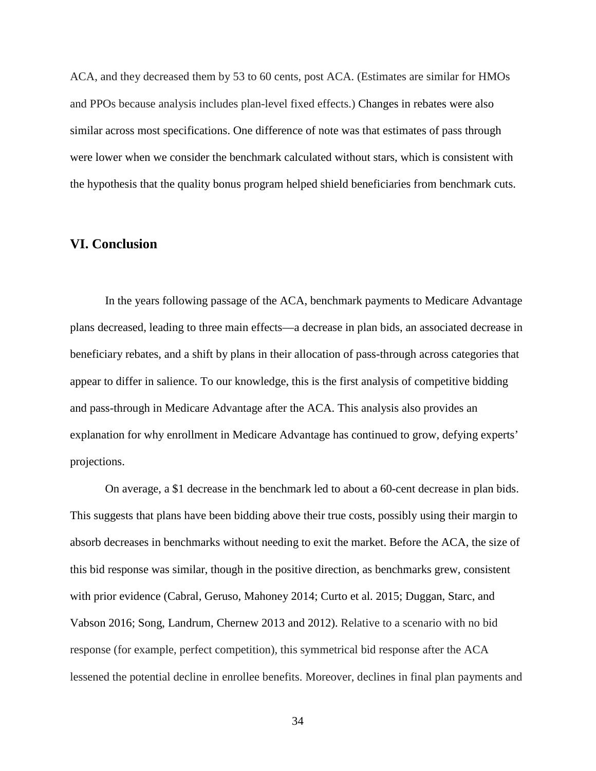ACA, and they decreased them by 53 to 60 cents, post ACA. (Estimates are similar for HMOs and PPOs because analysis includes plan-level fixed effects.) Changes in rebates were also similar across most specifications. One difference of note was that estimates of pass through were lower when we consider the benchmark calculated without stars, which is consistent with the hypothesis that the quality bonus program helped shield beneficiaries from benchmark cuts.

## **VI. Conclusion**

In the years following passage of the ACA, benchmark payments to Medicare Advantage plans decreased, leading to three main effects—a decrease in plan bids, an associated decrease in beneficiary rebates, and a shift by plans in their allocation of pass-through across categories that appear to differ in salience. To our knowledge, this is the first analysis of competitive bidding and pass-through in Medicare Advantage after the ACA. This analysis also provides an explanation for why enrollment in Medicare Advantage has continued to grow, defying experts' projections.

On average, a \$1 decrease in the benchmark led to about a 60-cent decrease in plan bids. This suggests that plans have been bidding above their true costs, possibly using their margin to absorb decreases in benchmarks without needing to exit the market. Before the ACA, the size of this bid response was similar, though in the positive direction, as benchmarks grew, consistent with prior evidence (Cabral, Geruso, Mahoney 2014; Curto et al. 2015; Duggan, Starc, and Vabson 2016; Song, Landrum, Chernew 2013 and 2012). Relative to a scenario with no bid response (for example, perfect competition), this symmetrical bid response after the ACA lessened the potential decline in enrollee benefits. Moreover, declines in final plan payments and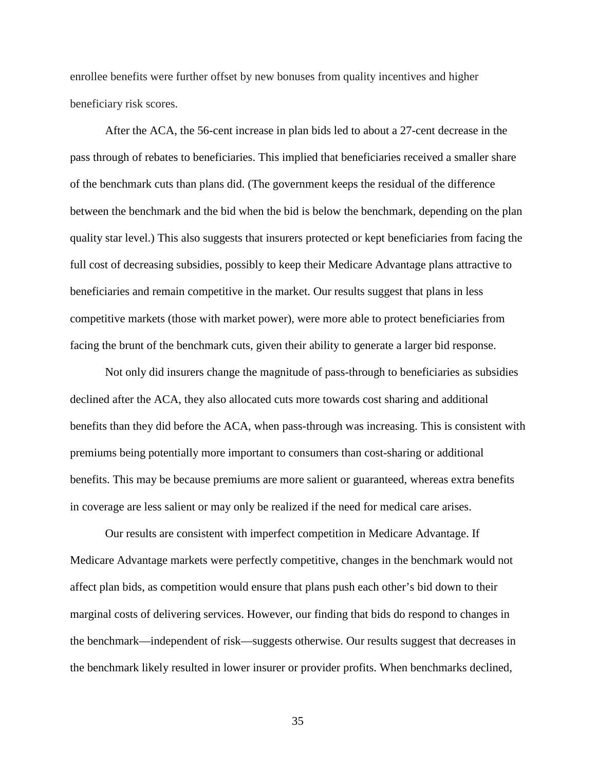enrollee benefits were further offset by new bonuses from quality incentives and higher beneficiary risk scores.

After the ACA, the 56-cent increase in plan bids led to about a 27-cent decrease in the pass through of rebates to beneficiaries. This implied that beneficiaries received a smaller share of the benchmark cuts than plans did. (The government keeps the residual of the difference between the benchmark and the bid when the bid is below the benchmark, depending on the plan quality star level.) This also suggests that insurers protected or kept beneficiaries from facing the full cost of decreasing subsidies, possibly to keep their Medicare Advantage plans attractive to beneficiaries and remain competitive in the market. Our results suggest that plans in less competitive markets (those with market power), were more able to protect beneficiaries from facing the brunt of the benchmark cuts, given their ability to generate a larger bid response.

Not only did insurers change the magnitude of pass-through to beneficiaries as subsidies declined after the ACA, they also allocated cuts more towards cost sharing and additional benefits than they did before the ACA, when pass-through was increasing. This is consistent with premiums being potentially more important to consumers than cost-sharing or additional benefits. This may be because premiums are more salient or guaranteed, whereas extra benefits in coverage are less salient or may only be realized if the need for medical care arises.

Our results are consistent with imperfect competition in Medicare Advantage. If Medicare Advantage markets were perfectly competitive, changes in the benchmark would not affect plan bids, as competition would ensure that plans push each other's bid down to their marginal costs of delivering services. However, our finding that bids do respond to changes in the benchmark—independent of risk—suggests otherwise. Our results suggest that decreases in the benchmark likely resulted in lower insurer or provider profits. When benchmarks declined,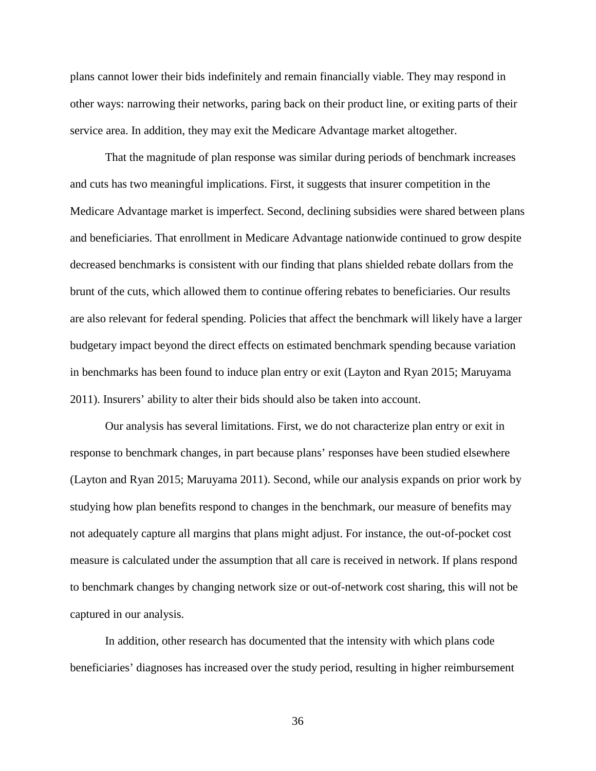plans cannot lower their bids indefinitely and remain financially viable. They may respond in other ways: narrowing their networks, paring back on their product line, or exiting parts of their service area. In addition, they may exit the Medicare Advantage market altogether.

That the magnitude of plan response was similar during periods of benchmark increases and cuts has two meaningful implications. First, it suggests that insurer competition in the Medicare Advantage market is imperfect. Second, declining subsidies were shared between plans and beneficiaries. That enrollment in Medicare Advantage nationwide continued to grow despite decreased benchmarks is consistent with our finding that plans shielded rebate dollars from the brunt of the cuts, which allowed them to continue offering rebates to beneficiaries. Our results are also relevant for federal spending. Policies that affect the benchmark will likely have a larger budgetary impact beyond the direct effects on estimated benchmark spending because variation in benchmarks has been found to induce plan entry or exit (Layton and Ryan 2015; Maruyama 2011). Insurers' ability to alter their bids should also be taken into account.

Our analysis has several limitations. First, we do not characterize plan entry or exit in response to benchmark changes, in part because plans' responses have been studied elsewhere (Layton and Ryan 2015; Maruyama 2011). Second, while our analysis expands on prior work by studying how plan benefits respond to changes in the benchmark, our measure of benefits may not adequately capture all margins that plans might adjust. For instance, the out-of-pocket cost measure is calculated under the assumption that all care is received in network. If plans respond to benchmark changes by changing network size or out-of-network cost sharing, this will not be captured in our analysis.

In addition, other research has documented that the intensity with which plans code beneficiaries' diagnoses has increased over the study period, resulting in higher reimbursement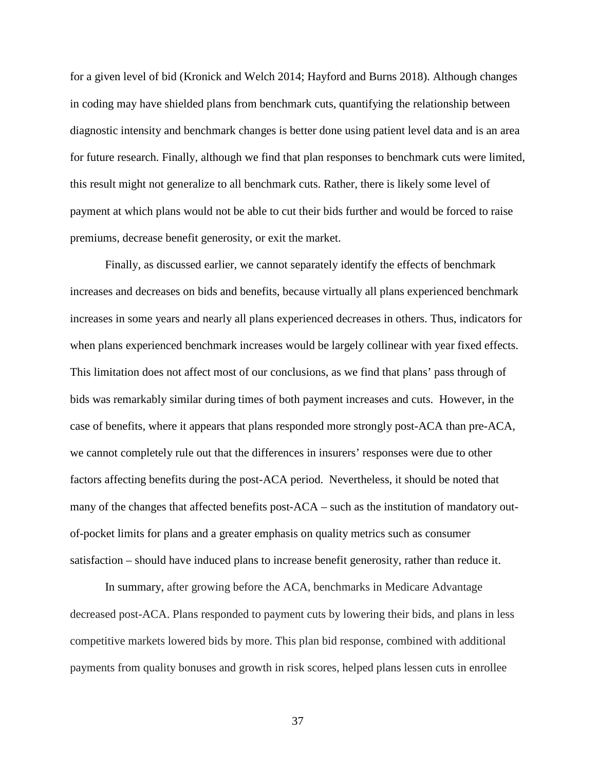for a given level of bid (Kronick and Welch 2014; Hayford and Burns 2018). Although changes in coding may have shielded plans from benchmark cuts, quantifying the relationship between diagnostic intensity and benchmark changes is better done using patient level data and is an area for future research. Finally, although we find that plan responses to benchmark cuts were limited, this result might not generalize to all benchmark cuts. Rather, there is likely some level of payment at which plans would not be able to cut their bids further and would be forced to raise premiums, decrease benefit generosity, or exit the market.

Finally, as discussed earlier, we cannot separately identify the effects of benchmark increases and decreases on bids and benefits, because virtually all plans experienced benchmark increases in some years and nearly all plans experienced decreases in others. Thus, indicators for when plans experienced benchmark increases would be largely collinear with year fixed effects. This limitation does not affect most of our conclusions, as we find that plans' pass through of bids was remarkably similar during times of both payment increases and cuts. However, in the case of benefits, where it appears that plans responded more strongly post-ACA than pre-ACA, we cannot completely rule out that the differences in insurers' responses were due to other factors affecting benefits during the post-ACA period. Nevertheless, it should be noted that many of the changes that affected benefits post-ACA – such as the institution of mandatory outof-pocket limits for plans and a greater emphasis on quality metrics such as consumer satisfaction – should have induced plans to increase benefit generosity, rather than reduce it.

In summary, after growing before the ACA, benchmarks in Medicare Advantage decreased post-ACA. Plans responded to payment cuts by lowering their bids, and plans in less competitive markets lowered bids by more. This plan bid response, combined with additional payments from quality bonuses and growth in risk scores, helped plans lessen cuts in enrollee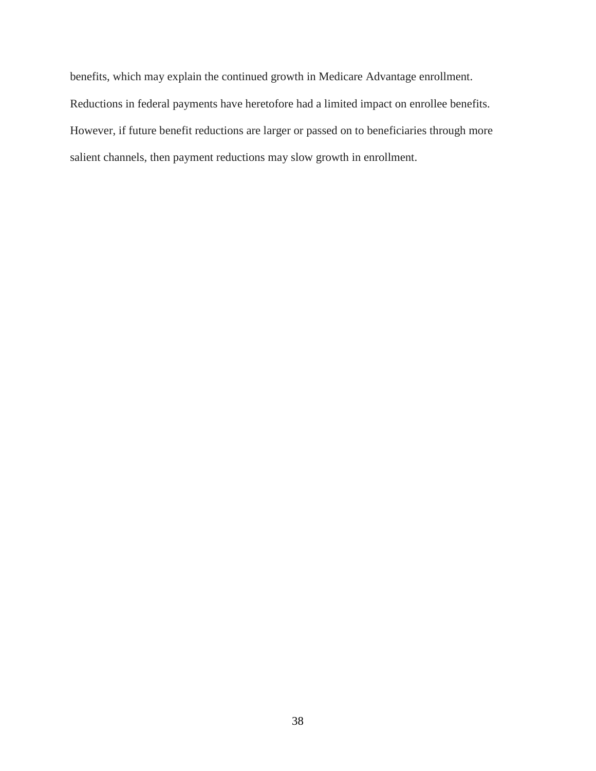benefits, which may explain the continued growth in Medicare Advantage enrollment. Reductions in federal payments have heretofore had a limited impact on enrollee benefits. However, if future benefit reductions are larger or passed on to beneficiaries through more salient channels, then payment reductions may slow growth in enrollment.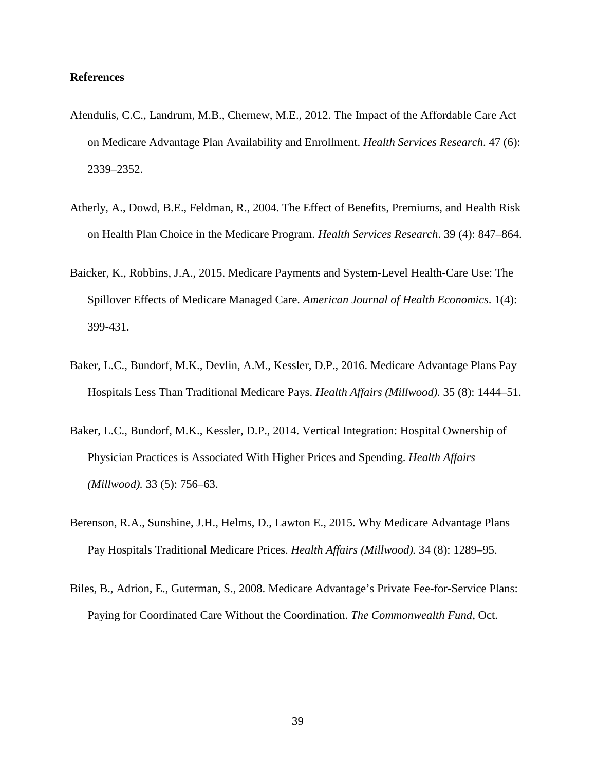### **References**

- Afendulis, C.C., Landrum, M.B., Chernew, M.E., 2012. The Impact of the Affordable Care Act on Medicare Advantage Plan Availability and Enrollment. *Health Services Research*. 47 (6): 2339–2352.
- Atherly, A., Dowd, B.E., Feldman, R., 2004. The Effect of Benefits, Premiums, and Health Risk on Health Plan Choice in the Medicare Program. *Health Services Research*. 39 (4): 847–864.
- Baicker, K., Robbins, J.A., 2015. Medicare Payments and System-Level Health-Care Use: The Spillover Effects of Medicare Managed Care. *American Journal of Health Economics*. 1(4): 399-431.
- Baker, L.C., Bundorf, M.K., Devlin, A.M., Kessler, D.P., 2016. Medicare Advantage Plans Pay Hospitals Less Than Traditional Medicare Pays. *Health Affairs (Millwood).* 35 (8): 1444–51.
- Baker, L.C., Bundorf, M.K., Kessler, D.P., 2014. Vertical Integration: Hospital Ownership of Physician Practices is Associated With Higher Prices and Spending. *Health Affairs (Millwood).* 33 (5): 756–63.
- Berenson, R.A., Sunshine, J.H., Helms, D., Lawton E., 2015. Why Medicare Advantage Plans Pay Hospitals Traditional Medicare Prices. *Health Affairs (Millwood).* 34 (8): 1289–95.
- Biles, B., Adrion, E., Guterman, S., 2008. Medicare Advantage's Private Fee-for-Service Plans: Paying for Coordinated Care Without the Coordination. *The Commonwealth Fund,* Oct.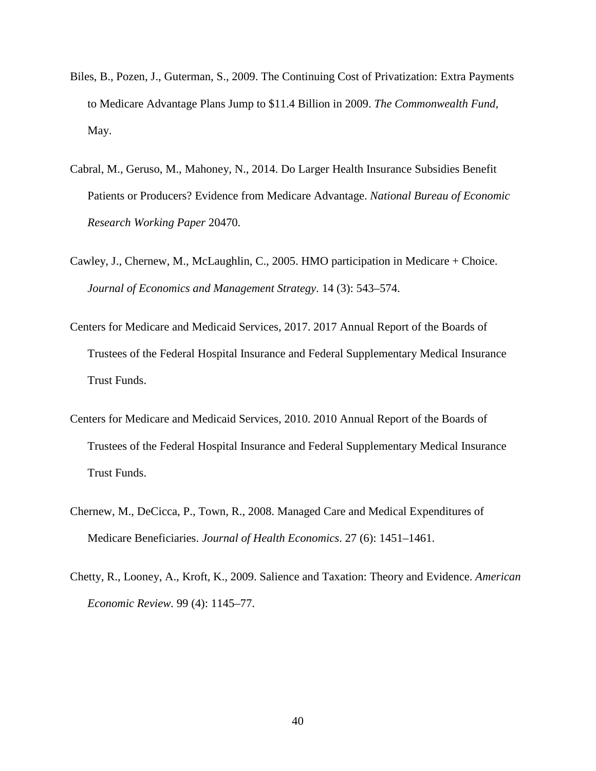- Biles, B., Pozen, J., Guterman, S., 2009. The Continuing Cost of Privatization: Extra Payments to Medicare Advantage Plans Jump to \$11.4 Billion in 2009. *The Commonwealth Fund,* May.
- Cabral, M., Geruso, M., Mahoney, N., 2014. Do Larger Health Insurance Subsidies Benefit Patients or Producers? Evidence from Medicare Advantage. *National Bureau of Economic Research Working Paper* 20470.
- Cawley, J., Chernew, M., McLaughlin, C., 2005. HMO participation in Medicare + Choice. *Journal of Economics and Management Strategy*. 14 (3): 543–574.
- Centers for Medicare and Medicaid Services, 2017. 2017 Annual Report of the Boards of Trustees of the Federal Hospital Insurance and Federal Supplementary Medical Insurance Trust Funds.
- Centers for Medicare and Medicaid Services, 2010. 2010 Annual Report of the Boards of Trustees of the Federal Hospital Insurance and Federal Supplementary Medical Insurance Trust Funds.
- Chernew, M., DeCicca, P., Town, R., 2008. Managed Care and Medical Expenditures of Medicare Beneficiaries. *Journal of Health Economics*. 27 (6): 1451–1461.
- Chetty, R., Looney, A., Kroft, K., 2009. Salience and Taxation: Theory and Evidence. *American Economic Review.* 99 (4): 1145–77.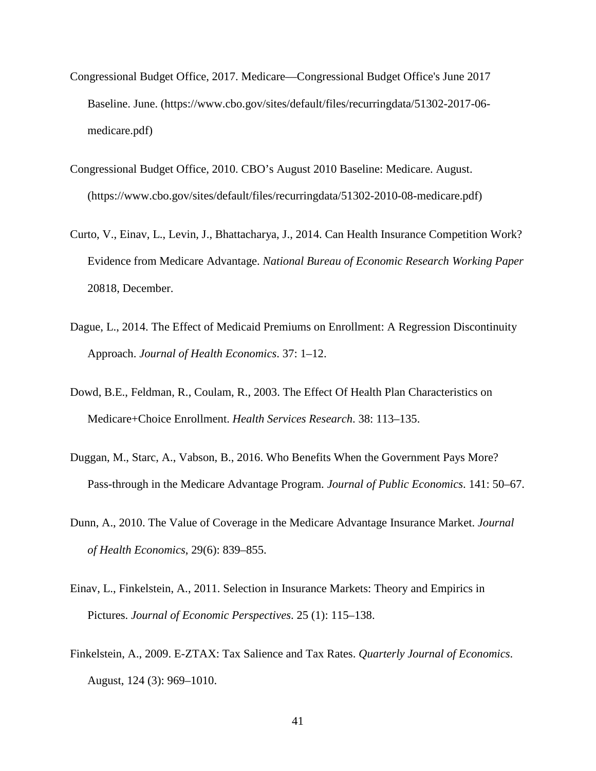- Congressional Budget Office, 2017. Medicare—Congressional Budget Office's June 2017 Baseline. June. (https://www.cbo.gov/sites/default/files/recurringdata/51302-2017-06 medicare.pdf)
- Congressional Budget Office, 2010. CBO's August 2010 Baseline: Medicare. August. (https://www.cbo.gov/sites/default/files/recurringdata/51302-2010-08-medicare.pdf)
- Curto, V., Einav, L., Levin, J., Bhattacharya, J., 2014. Can Health Insurance Competition Work? Evidence from Medicare Advantage. *National Bureau of Economic Research Working Paper*  20818, December.
- Dague, L., 2014. The Effect of Medicaid Premiums on Enrollment: A Regression Discontinuity Approach. *Journal of Health Economics*. 37: 1–12.
- Dowd, B.E., Feldman, R., Coulam, R., 2003. The Effect Of Health Plan Characteristics on Medicare+Choice Enrollment. *Health Services Research*. 38: 113–135.
- Duggan, M., Starc, A., Vabson, B., 2016. Who Benefits When the Government Pays More? Pass-through in the Medicare Advantage Program. *Journal of Public Economics*. 141: 50–67.
- Dunn, A., 2010. The Value of Coverage in the Medicare Advantage Insurance Market. *Journal of Health Economics*, 29(6): 839–855.
- Einav, L., Finkelstein, A., 2011. Selection in Insurance Markets: Theory and Empirics in Pictures. *Journal of Economic Perspectives*. 25 (1): 115–138.
- Finkelstein, A., 2009. E-ZTAX: Tax Salience and Tax Rates. *Quarterly Journal of Economics*. August, 124 (3): 969–1010.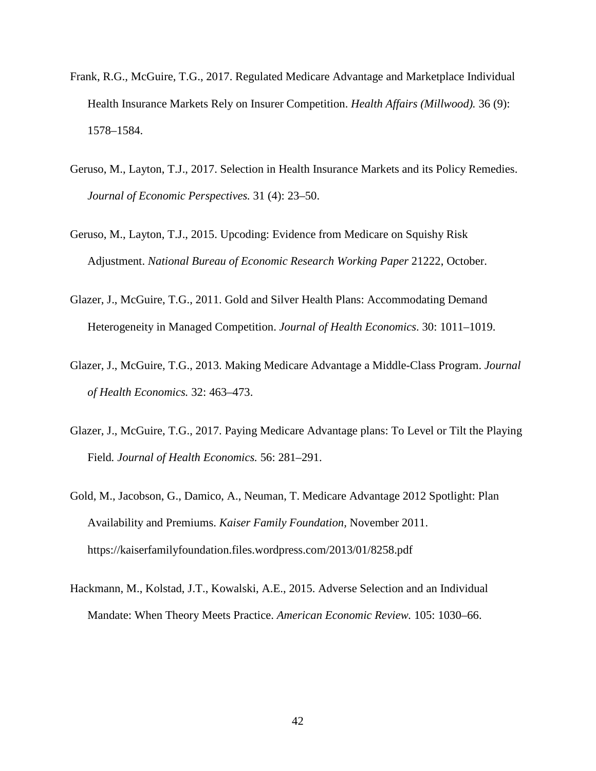- Frank, R.G., McGuire, T.G., 2017. Regulated Medicare Advantage and Marketplace Individual Health Insurance Markets Rely on Insurer Competition. *Health Affairs (Millwood).* 36 (9): 1578–1584.
- Geruso, M., Layton, T.J., 2017. Selection in Health Insurance Markets and its Policy Remedies. *Journal of Economic Perspectives.* 31 (4): 23–50.
- Geruso, M., Layton, T.J., 2015. Upcoding: Evidence from Medicare on Squishy Risk Adjustment. *National Bureau of Economic Research Working Paper* 21222, October.
- Glazer, J., McGuire, T.G., 2011. Gold and Silver Health Plans: Accommodating Demand Heterogeneity in Managed Competition. *Journal of Health Economics*. 30: 1011–1019.
- Glazer, J., McGuire, T.G., 2013. Making Medicare Advantage a Middle-Class Program. *Journal of Health Economics.* 32: 463–473.
- Glazer, J., McGuire, T.G., 2017. Paying Medicare Advantage plans: To Level or Tilt the Playing Field*. Journal of Health Economics.* 56: 281–291.
- Gold, M., Jacobson, G., Damico, A., Neuman, T. Medicare Advantage 2012 Spotlight: Plan Availability and Premiums. *Kaiser Family Foundation,* November 2011. https://kaiserfamilyfoundation.files.wordpress.com/2013/01/8258.pdf
- Hackmann, M., Kolstad, J.T., Kowalski, A.E., 2015. Adverse Selection and an Individual Mandate: When Theory Meets Practice. *American Economic Review.* 105: 1030–66.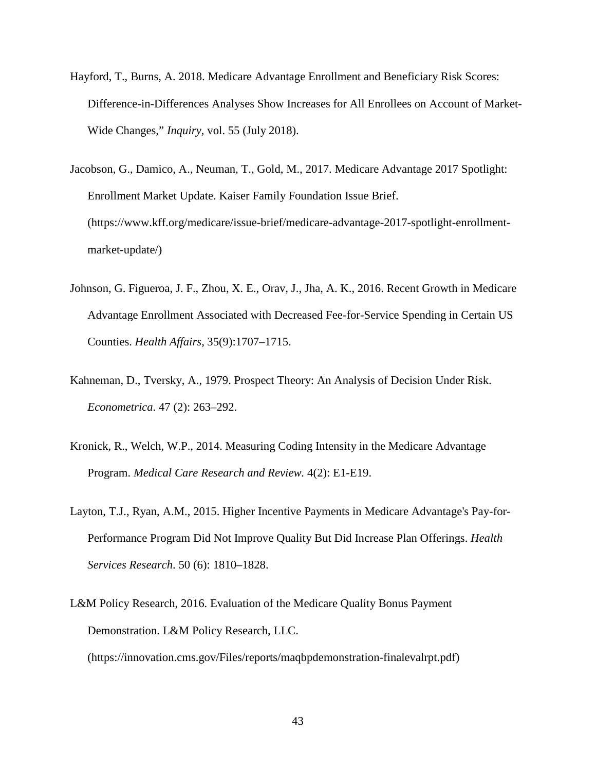- Hayford, T., Burns, A. 2018. Medicare Advantage Enrollment and Beneficiary Risk Scores: Difference-in-Differences Analyses Show Increases for All Enrollees on Account of Market-Wide Changes," *Inquiry*, vol. 55 (July 2018).
- Jacobson, G., Damico, A., Neuman, T., Gold, M., 2017. Medicare Advantage 2017 Spotlight: Enrollment Market Update. Kaiser Family Foundation Issue Brief. (https://www.kff.org/medicare/issue-brief/medicare-advantage-2017-spotlight-enrollmentmarket-update/)
- Johnson, G. Figueroa, J. F., Zhou, X. E., Orav, J., Jha, A. K., 2016. Recent Growth in Medicare Advantage Enrollment Associated with Decreased Fee-for-Service Spending in Certain US Counties. *Health Affairs*, 35(9):1707–1715.
- Kahneman, D., Tversky, A., 1979. Prospect Theory: An Analysis of Decision Under Risk. *Econometrica*. 47 (2): 263–292.
- Kronick, R., Welch, W.P., 2014. Measuring Coding Intensity in the Medicare Advantage Program. *Medical Care Research and Review.* 4(2): E1-E19.
- Layton, T.J., Ryan, A.M., 2015. Higher Incentive Payments in Medicare Advantage's Pay-for-Performance Program Did Not Improve Quality But Did Increase Plan Offerings. *Health Services Research*. 50 (6): 1810–1828.
- L&M Policy Research, 2016. Evaluation of the Medicare Quality Bonus Payment Demonstration. L&M Policy Research, LLC.

(https://innovation.cms.gov/Files/reports/maqbpdemonstration-finalevalrpt.pdf)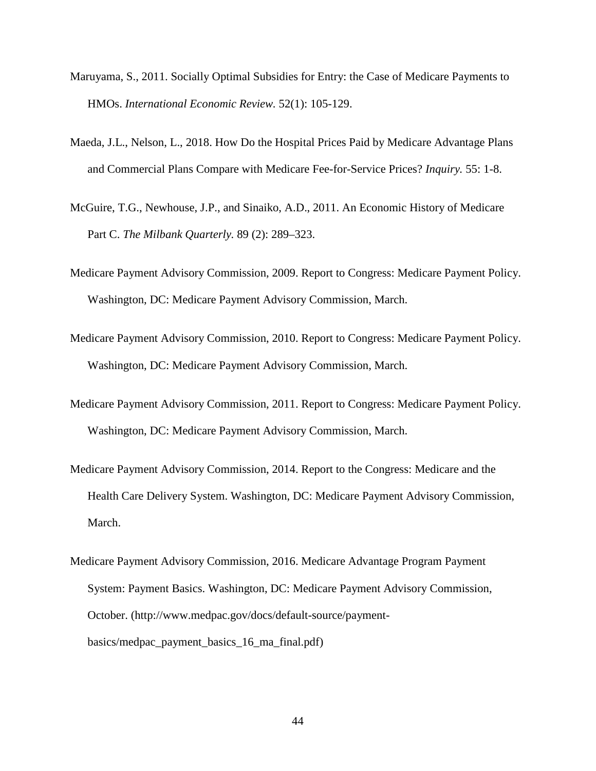- Maruyama, S., 2011. Socially Optimal Subsidies for Entry: the Case of Medicare Payments to HMOs. *International Economic Review.* 52(1): 105-129.
- Maeda, J.L., Nelson, L., 2018. How Do the Hospital Prices Paid by Medicare Advantage Plans and Commercial Plans Compare with Medicare Fee-for-Service Prices? *Inquiry.* 55: 1-8.
- McGuire, T.G., Newhouse, J.P., and Sinaiko, A.D., 2011. An Economic History of Medicare Part C. *The Milbank Quarterly.* 89 (2): 289–323.
- Medicare Payment Advisory Commission, 2009. Report to Congress: Medicare Payment Policy. Washington, DC: Medicare Payment Advisory Commission, March.
- Medicare Payment Advisory Commission, 2010. Report to Congress: Medicare Payment Policy. Washington, DC: Medicare Payment Advisory Commission, March.
- Medicare Payment Advisory Commission, 2011. Report to Congress: Medicare Payment Policy. Washington, DC: Medicare Payment Advisory Commission, March.
- Medicare Payment Advisory Commission, 2014. Report to the Congress: Medicare and the Health Care Delivery System. Washington, DC: Medicare Payment Advisory Commission, March.
- Medicare Payment Advisory Commission, 2016. Medicare Advantage Program Payment System: Payment Basics. Washington, DC: Medicare Payment Advisory Commission, October. (http://www.medpac.gov/docs/default-source/paymentbasics/medpac\_payment\_basics\_16\_ma\_final.pdf)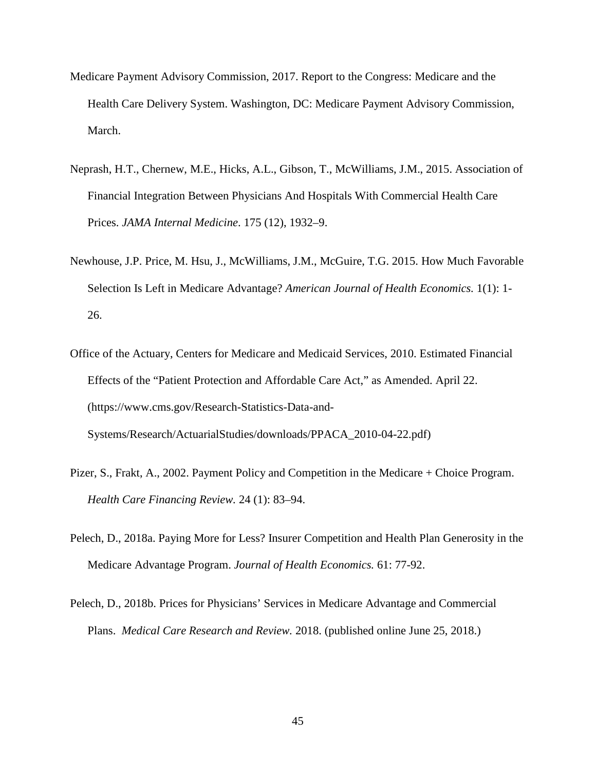- Medicare Payment Advisory Commission, 2017. Report to the Congress: Medicare and the Health Care Delivery System. Washington, DC: Medicare Payment Advisory Commission, March.
- Neprash, H.T., Chernew, M.E., Hicks, A.L., Gibson, T., McWilliams, J.M., 2015. Association of Financial Integration Between Physicians And Hospitals With Commercial Health Care Prices. *JAMA Internal Medicine*. 175 (12), 1932–9.
- Newhouse, J.P. Price, M. Hsu, J., McWilliams, J.M., McGuire, T.G. 2015. How Much Favorable Selection Is Left in Medicare Advantage? *American Journal of Health Economics.* 1(1): 1- 26.
- Office of the Actuary, Centers for Medicare and Medicaid Services, 2010. Estimated Financial Effects of the "Patient Protection and Affordable Care Act," as Amended. April 22. (https://www.cms.gov/Research-Statistics-Data-and-Systems/Research/ActuarialStudies/downloads/PPACA\_2010-04-22.pdf)
- Pizer, S., Frakt, A., 2002. Payment Policy and Competition in the Medicare + Choice Program. *Health Care Financing Review.* 24 (1): 83–94.
- Pelech, D., 2018a. Paying More for Less? Insurer Competition and Health Plan Generosity in the Medicare Advantage Program. *Journal of Health Economics.* 61: 77-92.
- Pelech, D., 2018b. Prices for Physicians' Services in Medicare Advantage and Commercial Plans. *Medical Care Research and Review.* 2018. (published online June 25, 2018.)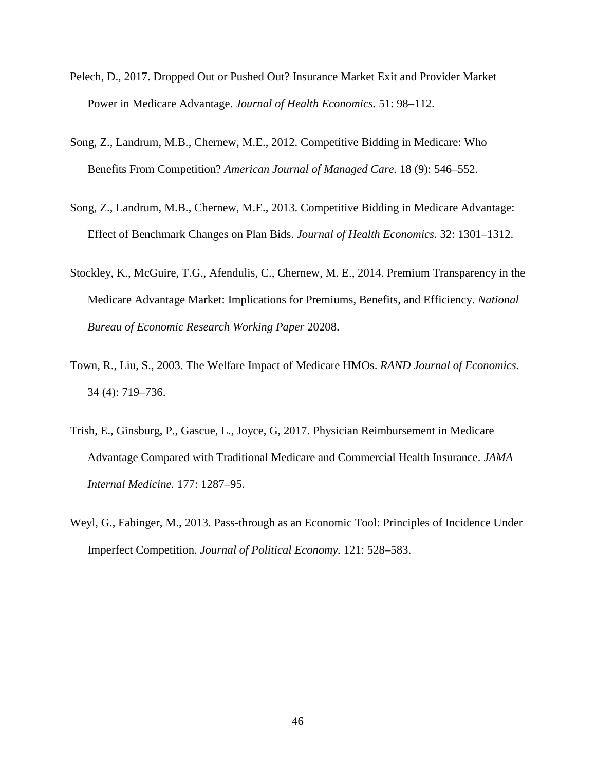- Pelech, D., 2017. Dropped Out or Pushed Out? Insurance Market Exit and Provider Market Power in Medicare Advantage. *Journal of Health Economics.* 51: 98–112.
- Song, Z., Landrum, M.B., Chernew, M.E., 2012. Competitive Bidding in Medicare: Who Benefits From Competition? *American Journal of Managed Care.* 18 (9): 546–552.
- Song, Z., Landrum, M.B., Chernew, M.E., 2013. Competitive Bidding in Medicare Advantage: Effect of Benchmark Changes on Plan Bids. *Journal of Health Economics.* 32: 1301–1312.
- Stockley, K., McGuire, T.G., Afendulis, C., Chernew, M. E., 2014. Premium Transparency in the Medicare Advantage Market: Implications for Premiums, Benefits, and Efficiency. *National Bureau of Economic Research Working Paper* 20208.
- Town, R., Liu, S., 2003. The Welfare Impact of Medicare HMOs. *RAND Journal of Economics.* 34 (4): 719–736.
- Trish, E., Ginsburg, P., Gascue, L., Joyce, G, 2017. Physician Reimbursement in Medicare Advantage Compared with Traditional Medicare and Commercial Health Insurance. *JAMA Internal Medicine.* 177: 1287–95.
- Weyl, G., Fabinger, M., 2013. Pass-through as an Economic Tool: Principles of Incidence Under Imperfect Competition. *Journal of Political Economy.* 121: 528–583.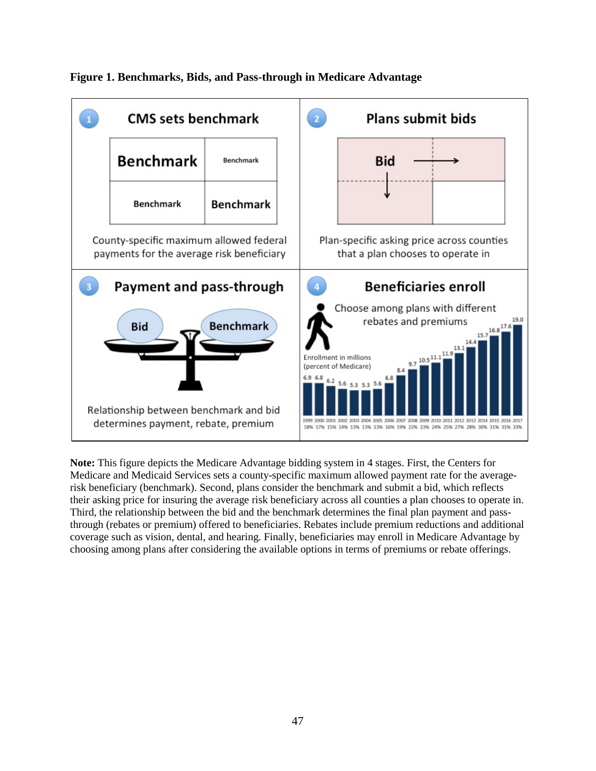

**Figure 1. Benchmarks, Bids, and Pass-through in Medicare Advantage**

**Note:** This figure depicts the Medicare Advantage bidding system in 4 stages. First, the Centers for Medicare and Medicaid Services sets a county-specific maximum allowed payment rate for the averagerisk beneficiary (benchmark). Second, plans consider the benchmark and submit a bid, which reflects their asking price for insuring the average risk beneficiary across all counties a plan chooses to operate in. Third, the relationship between the bid and the benchmark determines the final plan payment and passthrough (rebates or premium) offered to beneficiaries. Rebates include premium reductions and additional coverage such as vision, dental, and hearing. Finally, beneficiaries may enroll in Medicare Advantage by choosing among plans after considering the available options in terms of premiums or rebate offerings.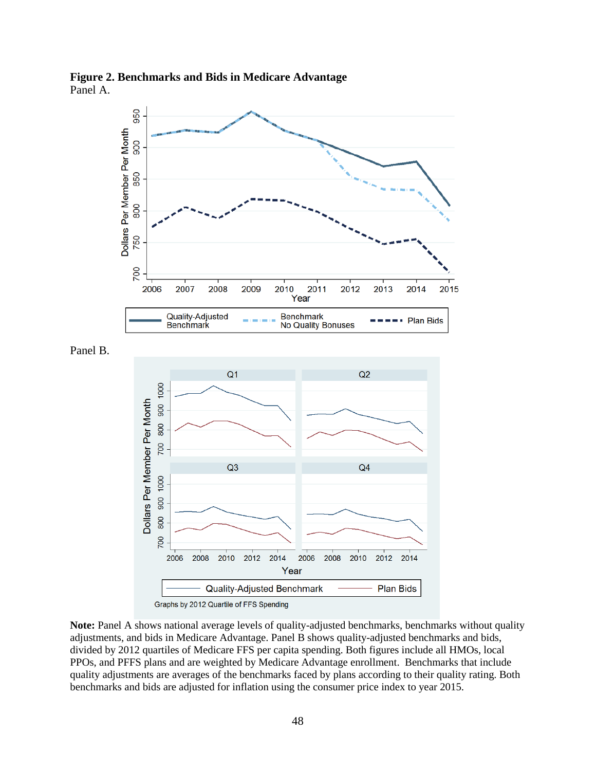**Figure 2. Benchmarks and Bids in Medicare Advantage** Panel A.

Panel B.





Graphs by 2012 Quartile of FFS Spending

**Note:** Panel A shows national average levels of quality-adjusted benchmarks, benchmarks without quality adjustments, and bids in Medicare Advantage. Panel B shows quality-adjusted benchmarks and bids, divided by 2012 quartiles of Medicare FFS per capita spending. Both figures include all HMOs, local PPOs, and PFFS plans and are weighted by Medicare Advantage enrollment. Benchmarks that include quality adjustments are averages of the benchmarks faced by plans according to their quality rating. Both benchmarks and bids are adjusted for inflation using the consumer price index to year 2015.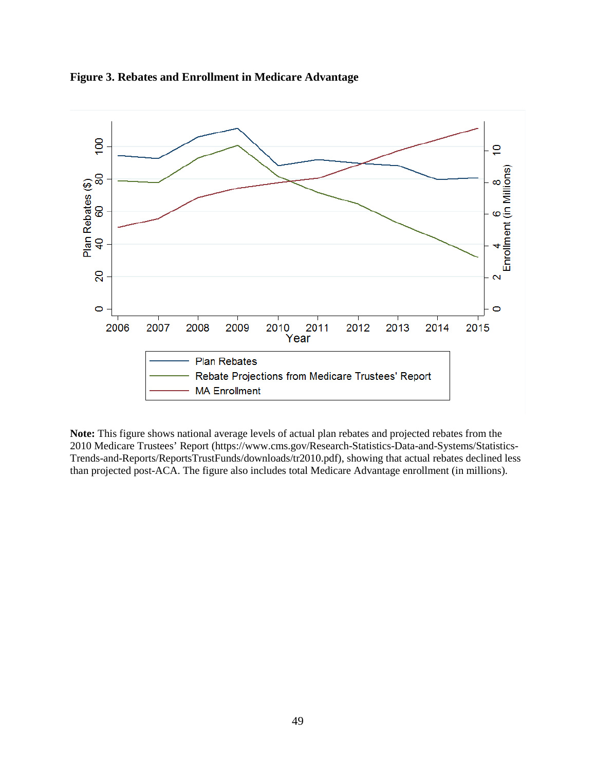

**Figure 3. Rebates and Enrollment in Medicare Advantage**

**Note:** This figure shows national average levels of actual plan rebates and projected rebates from the 2010 Medicare Trustees' Report [\(https://www.cms.gov/Research-Statistics-Data-and-Systems/Statistics-](https://www.cms.gov/Research-Statistics-Data-and-Systems/Statistics-Trends-and-Reports/ReportsTrustFunds/downloads/tr2010.pdf)[Trends-and-Reports/ReportsTrustFunds/downloads/tr2010.pdf\)](https://www.cms.gov/Research-Statistics-Data-and-Systems/Statistics-Trends-and-Reports/ReportsTrustFunds/downloads/tr2010.pdf), showing that actual rebates declined less than projected post-ACA. The figure also includes total Medicare Advantage enrollment (in millions).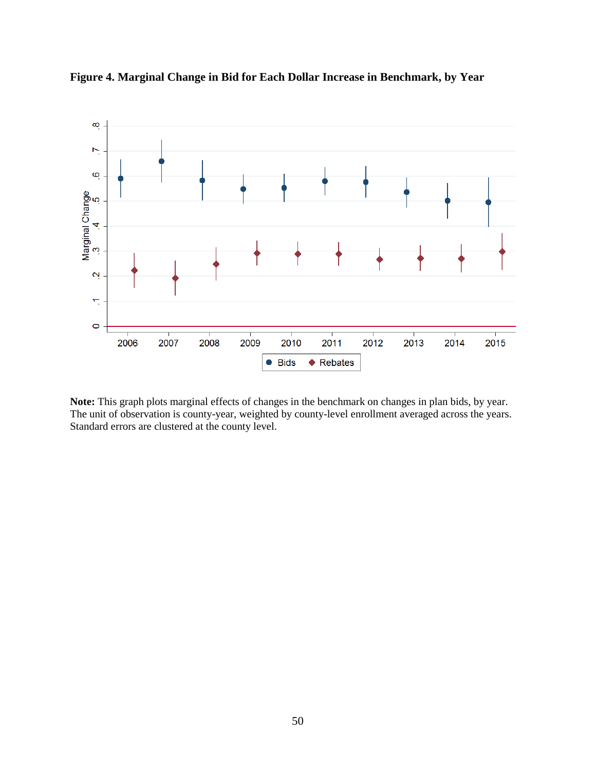

**Figure 4. Marginal Change in Bid for Each Dollar Increase in Benchmark, by Year**

**Note:** This graph plots marginal effects of changes in the benchmark on changes in plan bids, by year. The unit of observation is county-year, weighted by county-level enrollment averaged across the years. Standard errors are clustered at the county level.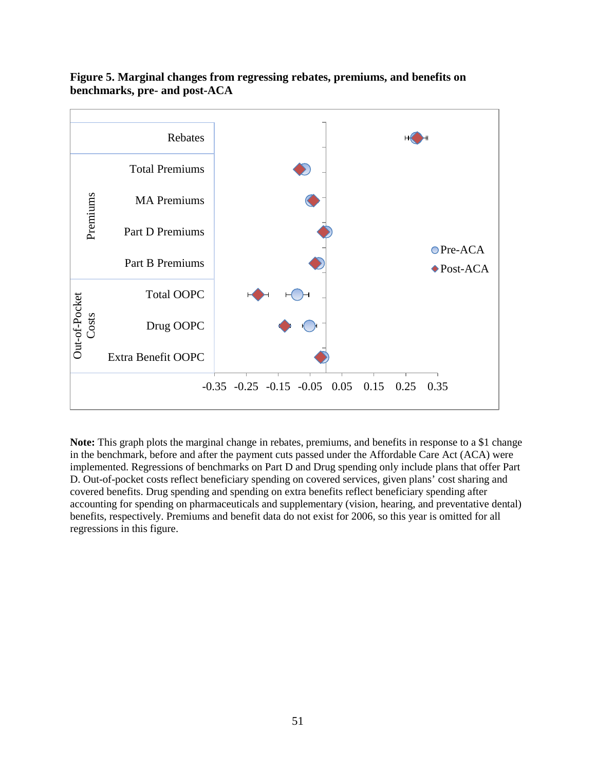

**Figure 5. Marginal changes from regressing rebates, premiums, and benefits on benchmarks, pre- and post-ACA**

**Note:** This graph plots the marginal change in rebates, premiums, and benefits in response to a \$1 change in the benchmark, before and after the payment cuts passed under the Affordable Care Act (ACA) were implemented. Regressions of benchmarks on Part D and Drug spending only include plans that offer Part D. Out-of-pocket costs reflect beneficiary spending on covered services, given plans' cost sharing and covered benefits. Drug spending and spending on extra benefits reflect beneficiary spending after accounting for spending on pharmaceuticals and supplementary (vision, hearing, and preventative dental) benefits, respectively. Premiums and benefit data do not exist for 2006, so this year is omitted for all regressions in this figure.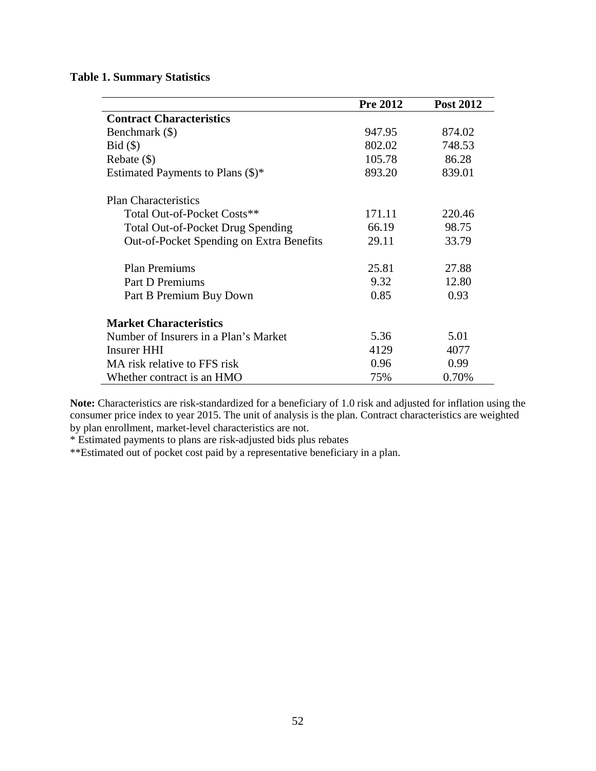## **Table 1. Summary Statistics**

|                                                 | <b>Pre 2012</b> | <b>Post 2012</b> |
|-------------------------------------------------|-----------------|------------------|
| <b>Contract Characteristics</b>                 |                 |                  |
| Benchmark (\$)                                  | 947.95          | 874.02           |
| $Bid (\$)$                                      | 802.02          | 748.53           |
| Rebate $(\$)$                                   | 105.78          | 86.28            |
| Estimated Payments to Plans $(\$)^*$            | 893.20          | 839.01           |
| <b>Plan Characteristics</b>                     |                 |                  |
| Total Out-of-Pocket Costs**                     | 171.11          | 220.46           |
| <b>Total Out-of-Pocket Drug Spending</b>        | 66.19           | 98.75            |
| <b>Out-of-Pocket Spending on Extra Benefits</b> | 29.11           | 33.79            |
| <b>Plan Premiums</b>                            | 25.81           | 27.88            |
| <b>Part D Premiums</b>                          | 9.32            | 12.80            |
| Part B Premium Buy Down                         | 0.85            | 0.93             |
| <b>Market Characteristics</b>                   |                 |                  |
| Number of Insurers in a Plan's Market           | 5.36            | 5.01             |
| Insurer HHI                                     | 4129            | 4077             |
| MA risk relative to FFS risk                    | 0.96            | 0.99             |
| Whether contract is an HMO                      | 75%             | 0.70%            |

**Note:** Characteristics are risk-standardized for a beneficiary of 1.0 risk and adjusted for inflation using the consumer price index to year 2015. The unit of analysis is the plan. Contract characteristics are weighted by plan enrollment, market-level characteristics are not.

\* Estimated payments to plans are risk-adjusted bids plus rebates

\*\*Estimated out of pocket cost paid by a representative beneficiary in a plan.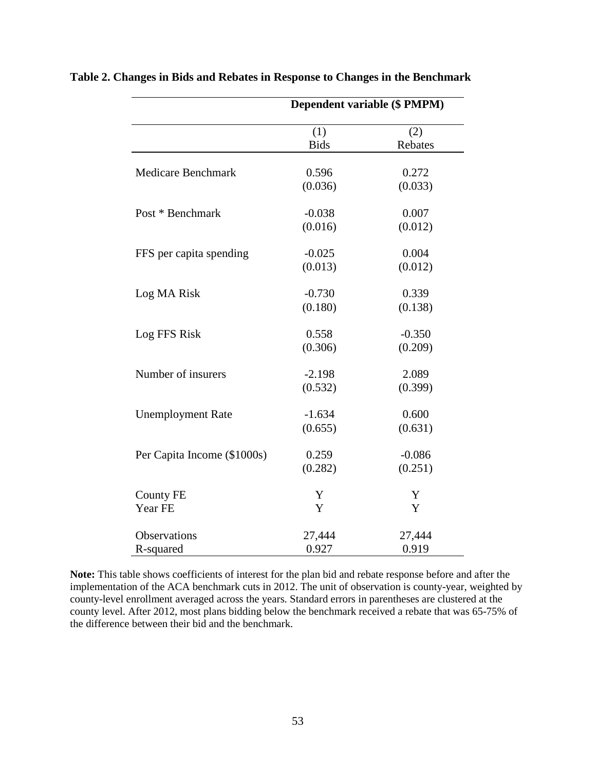|                             |             | Dependent variable (\$ PMPM) |
|-----------------------------|-------------|------------------------------|
|                             | (1)         | (2)                          |
|                             | <b>Bids</b> | Rebates                      |
|                             |             |                              |
| <b>Medicare Benchmark</b>   | 0.596       | 0.272                        |
|                             | (0.036)     | (0.033)                      |
| Post * Benchmark            | $-0.038$    | 0.007                        |
|                             | (0.016)     | (0.012)                      |
| FFS per capita spending     | $-0.025$    | 0.004                        |
|                             | (0.013)     | (0.012)                      |
| Log MA Risk                 | $-0.730$    | 0.339                        |
|                             | (0.180)     | (0.138)                      |
|                             |             |                              |
| Log FFS Risk                | 0.558       | $-0.350$                     |
|                             | (0.306)     | (0.209)                      |
| Number of insurers          | $-2.198$    | 2.089                        |
|                             | (0.532)     | (0.399)                      |
| <b>Unemployment Rate</b>    | $-1.634$    | 0.600                        |
|                             | (0.655)     | (0.631)                      |
|                             |             |                              |
| Per Capita Income (\$1000s) | 0.259       | $-0.086$                     |
|                             | (0.282)     | (0.251)                      |
| <b>County FE</b>            | Y           | Y                            |
| Year FE                     | Y           | Y                            |
| Observations                | 27,444      | 27,444                       |
| R-squared                   | 0.927       | 0.919                        |

**Table 2. Changes in Bids and Rebates in Response to Changes in the Benchmark**

**Note:** This table shows coefficients of interest for the plan bid and rebate response before and after the implementation of the ACA benchmark cuts in 2012. The unit of observation is county-year, weighted by county-level enrollment averaged across the years. Standard errors in parentheses are clustered at the county level. After 2012, most plans bidding below the benchmark received a rebate that was 65-75% of the difference between their bid and the benchmark.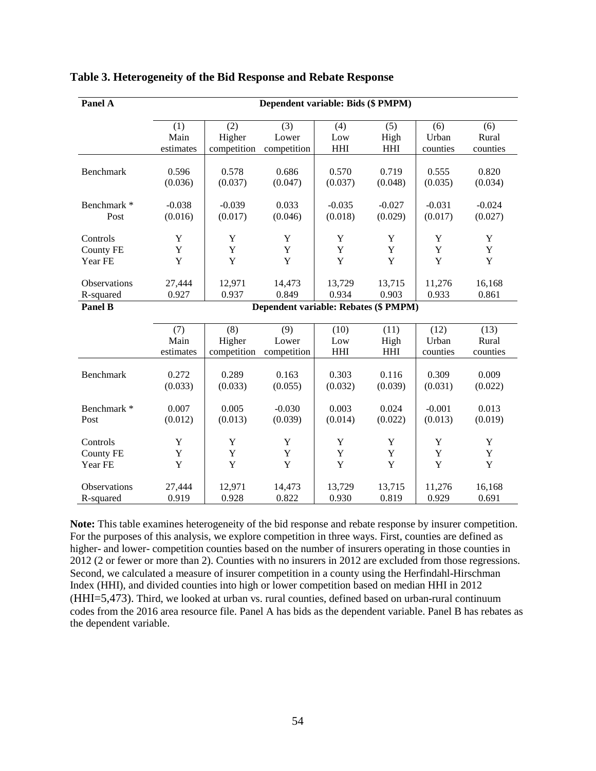| Panel A          | Dependent variable: Bids (\$PMPM)    |             |              |            |             |          |             |
|------------------|--------------------------------------|-------------|--------------|------------|-------------|----------|-------------|
|                  | (3)<br>(1)<br>(2)                    |             |              | (4)        | (5)         | (6)      | (6)         |
|                  | Main                                 | Higher      | Lower        | Low        | High        | Urban    | Rural       |
|                  | estimates                            | competition | competition  | <b>HHI</b> | <b>HHI</b>  | counties | counties    |
|                  |                                      |             |              |            |             |          |             |
| Benchmark        | 0.596                                | 0.578       | 0.686        | 0.570      | 0.719       | 0.555    | 0.820       |
|                  | (0.036)                              | (0.037)     | (0.047)      | (0.037)    | (0.048)     | (0.035)  | (0.034)     |
|                  |                                      |             |              |            |             |          |             |
| Benchmark *      | $-0.038$                             | $-0.039$    | 0.033        | $-0.035$   | $-0.027$    | $-0.031$ | $-0.024$    |
| Post             | (0.016)                              | (0.017)     | (0.046)      | (0.018)    | (0.029)     | (0.017)  | (0.027)     |
|                  |                                      |             |              |            |             |          |             |
| Controls         | Y                                    | Y           | Y            | Y          | $\mathbf Y$ | Y        | $\mathbf Y$ |
| <b>County FE</b> | Y                                    | Y           | $\mathbf Y$  | Y          | Y           | Y        | $\mathbf Y$ |
| Year FE          | Y                                    | Y           | Y            | Y          | Y           | Y        | Y           |
|                  |                                      |             |              |            |             |          |             |
| Observations     | 27,444                               | 12,971      | 14,473       | 13,729     | 13,715      | 11,276   | 16,168      |
| R-squared        | 0.927                                | 0.937       | 0.849        | 0.934      | 0.903       | 0.933    | 0.861       |
| Panel B          | Dependent variable: Rebates (\$PMPM) |             |              |            |             |          |             |
|                  |                                      | (8)         |              | (10)       | (11)        | (12)     | (13)        |
|                  | (7)<br>Main                          | Higher      | (9)<br>Lower | Low        | High        | Urban    | Rural       |
|                  | estimates                            | competition | competition  | <b>HHI</b> | <b>HHI</b>  | counties | counties    |
|                  |                                      |             |              |            |             |          |             |
| Benchmark        | 0.272                                | 0.289       | 0.163        | 0.303      | 0.116       | 0.309    | 0.009       |
|                  | (0.033)                              | (0.033)     | (0.055)      | (0.032)    | (0.039)     | (0.031)  | (0.022)     |
|                  |                                      |             |              |            |             |          |             |
| Benchmark *      | 0.007                                | 0.005       | $-0.030$     | 0.003      | 0.024       | $-0.001$ | 0.013       |
| Post             | (0.012)                              | (0.013)     | (0.039)      | (0.014)    | (0.022)     | (0.013)  | (0.019)     |
|                  |                                      |             |              |            |             |          |             |
| Controls         | $\mathbf Y$                          | Y           | $\mathbf Y$  | Y          | Y           | Y        | Y           |
| <b>County FE</b> | Y                                    | Y           | $\mathbf Y$  | Y          | $\mathbf Y$ | Y        | $\mathbf Y$ |
| Year FE          | Y                                    | Y           | $\mathbf Y$  | Y          | $\mathbf Y$ | Y        | $\mathbf Y$ |
|                  |                                      |             |              |            |             |          |             |
| Observations     | 27,444                               | 12,971      | 14,473       | 13,729     | 13,715      | 11,276   | 16,168      |
| R-squared        | 0.919                                | 0.928       | 0.822        | 0.930      | 0.819       | 0.929    | 0.691       |

### **Table 3. Heterogeneity of the Bid Response and Rebate Response**

**Note:** This table examines heterogeneity of the bid response and rebate response by insurer competition. For the purposes of this analysis, we explore competition in three ways. First, counties are defined as higher- and lower- competition counties based on the number of insurers operating in those counties in 2012 (2 or fewer or more than 2). Counties with no insurers in 2012 are excluded from those regressions. Second, we calculated a measure of insurer competition in a county using the Herfindahl-Hirschman Index (HHI), and divided counties into high or lower competition based on median HHI in 2012 (HHI=5,473). Third, we looked at urban vs. rural counties, defined based on urban-rural continuum codes from the 2016 area resource file. Panel A has bids as the dependent variable. Panel B has rebates as the dependent variable.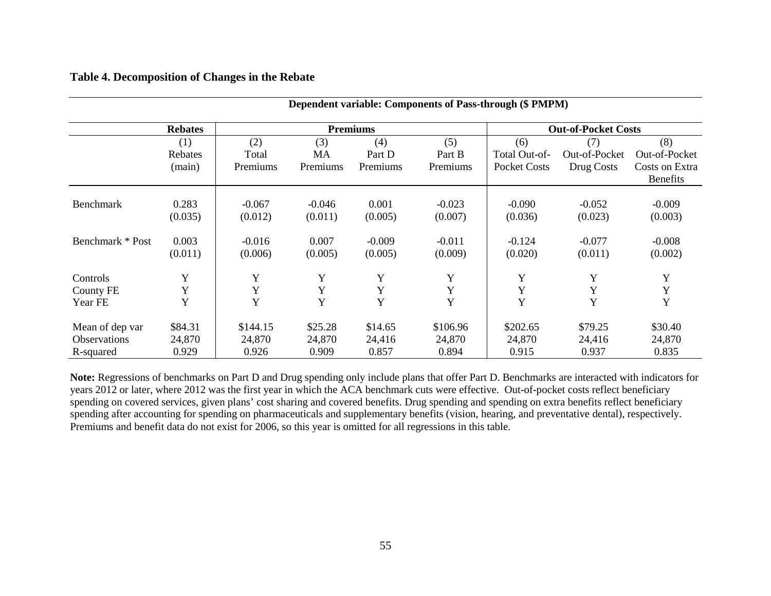### **Table 4. Decomposition of Changes in the Rebate**

| $D$ ependent variable. Components of 1 dss through $(\psi \pm m \pi)$ |                |          |                 |          |                 |                     |                            |                 |  |  |
|-----------------------------------------------------------------------|----------------|----------|-----------------|----------|-----------------|---------------------|----------------------------|-----------------|--|--|
|                                                                       | <b>Rebates</b> |          | <b>Premiums</b> |          |                 |                     | <b>Out-of-Pocket Costs</b> |                 |  |  |
|                                                                       | (1)            | (2)      | (3)             | (4)      | (5)             | (6)                 | (7)                        | (8)             |  |  |
|                                                                       | Rebates        | Total    | MA              | Part D   | Part B          | Total Out-of-       | Out-of-Pocket              | Out-of-Pocket   |  |  |
|                                                                       | (main)         | Premiums | Premiums        | Premiums | <b>Premiums</b> | <b>Pocket Costs</b> | Drug Costs                 | Costs on Extra  |  |  |
|                                                                       |                |          |                 |          |                 |                     |                            | <b>Benefits</b> |  |  |
|                                                                       |                |          |                 |          |                 |                     |                            |                 |  |  |
| <b>Benchmark</b>                                                      | 0.283          | $-0.067$ | $-0.046$        | 0.001    | $-0.023$        | $-0.090$            | $-0.052$                   | $-0.009$        |  |  |
|                                                                       | (0.035)        | (0.012)  | (0.011)         | (0.005)  | (0.007)         | (0.036)             | (0.023)                    | (0.003)         |  |  |
| Benchmark * Post                                                      | 0.003          | $-0.016$ | 0.007           | $-0.009$ | $-0.011$        | $-0.124$            | $-0.077$                   | $-0.008$        |  |  |
|                                                                       | (0.011)        | (0.006)  | (0.005)         | (0.005)  | (0.009)         | (0.020)             | (0.011)                    | (0.002)         |  |  |
| Controls                                                              | Y              | Y        | Y               | Y        | Y               | Y                   | Y                          | Y               |  |  |
| <b>County FE</b>                                                      | Y              | Y        | Y               | Y        | Y               | Y                   | $\mathbf Y$                | Y               |  |  |
| Year FE                                                               | Y              | Y        | Y               | Y        | Y               | Y                   | Y                          | Y               |  |  |
| Mean of dep var                                                       | \$84.31        | \$144.15 | \$25.28         | \$14.65  | \$106.96        | \$202.65            | \$79.25                    | \$30.40         |  |  |
| Observations                                                          | 24,870         | 24,870   | 24,870          | 24,416   | 24,870          | 24,870              | 24,416                     | 24,870          |  |  |
| R-squared                                                             | 0.929          | 0.926    | 0.909           | 0.857    | 0.894           | 0.915               | 0.937                      | 0.835           |  |  |

**Dependent variable: Components of Pass-through (\$ PMPM)**

**Note:** Regressions of benchmarks on Part D and Drug spending only include plans that offer Part D. Benchmarks are interacted with indicators for years 2012 or later, where 2012 was the first year in which the ACA benchmark cuts were effective. Out-of-pocket costs reflect beneficiary spending on covered services, given plans' cost sharing and covered benefits. Drug spending and spending on extra benefits reflect beneficiary spending after accounting for spending on pharmaceuticals and supplementary benefits (vision, hearing, and preventative dental), respectively. Premiums and benefit data do not exist for 2006, so this year is omitted for all regressions in this table.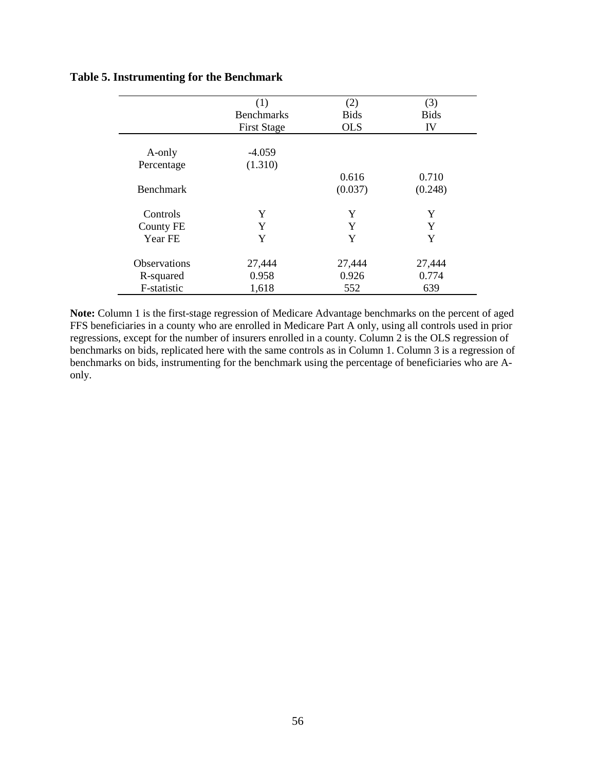## **Table 5. Instrumenting for the Benchmark**

|                     | (1)                | (2)         | (3)         |
|---------------------|--------------------|-------------|-------------|
|                     | <b>Benchmarks</b>  | <b>Bids</b> | <b>Bids</b> |
|                     | <b>First Stage</b> | <b>OLS</b>  | IV          |
|                     |                    |             |             |
| A-only              | $-4.059$           |             |             |
| Percentage          | (1.310)            |             |             |
|                     |                    | 0.616       | 0.710       |
| <b>Benchmark</b>    |                    | (0.037)     | (0.248)     |
| Controls            | Y                  | Y           | Y           |
| <b>County FE</b>    | Y                  | Y           | Y           |
| Year FE             | Y                  | Y           | Y           |
| <b>Observations</b> | 27,444             | 27,444      | 27,444      |
| R-squared           | 0.958              | 0.926       | 0.774       |
| F-statistic         | 1,618              | 552         | 639         |

**Note:** Column 1 is the first-stage regression of Medicare Advantage benchmarks on the percent of aged FFS beneficiaries in a county who are enrolled in Medicare Part A only, using all controls used in prior regressions, except for the number of insurers enrolled in a county. Column 2 is the OLS regression of benchmarks on bids, replicated here with the same controls as in Column 1. Column 3 is a regression of benchmarks on bids, instrumenting for the benchmark using the percentage of beneficiaries who are Aonly.